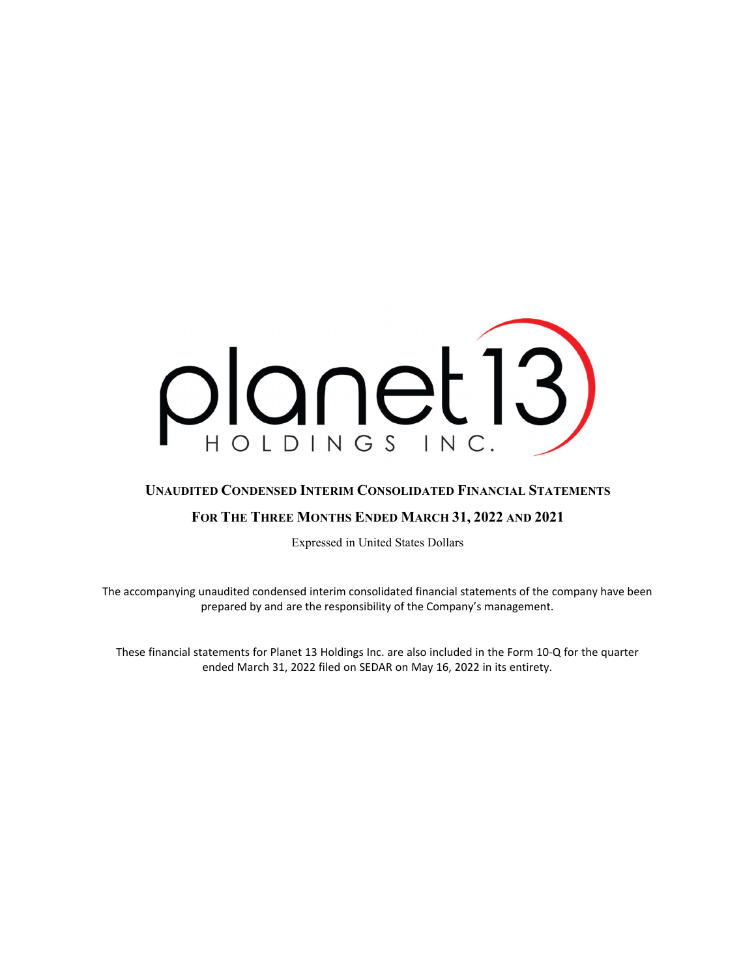

# UNAUDITED CONDENSED INTERIM CONSOLIDATED FINANCIAL STATEMENTS

# FOR THE THREE MONTHS ENDED MARCH 31, 2022 AND 2021

Expressed in United States Dollars

The accompanying unaudited condensed interim consolidated financial statements of the company have been prepared by and are the responsibility of the Company's management.

These financial statements for Planet 13 Holdings Inc. are also included in the Form 10-Q for the quarter ended March 31, 2022 filed on SEDAR on May 16, 2022 in its entirety.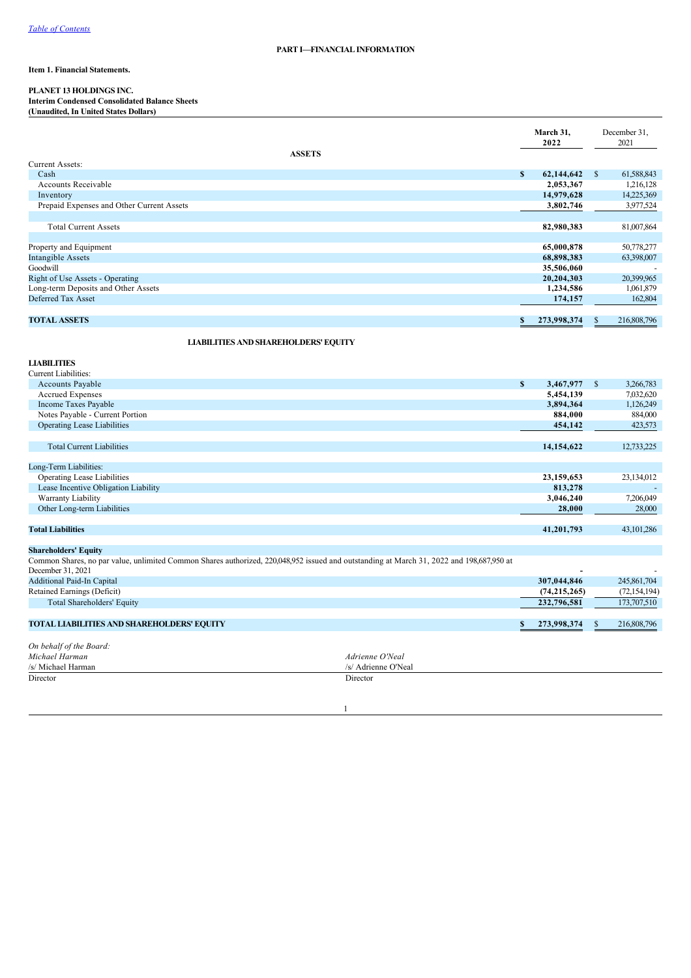## **PART I—FINANCIAL INFORMATION**

## **Item 1. Financial Statements.**

## **PLANET 13 HOLDINGS INC.**

**Interim Condensed Consolidated Balance Sheets (Unaudited, In United States Dollars)**

|                                           | March 31,<br>2022 |               | December 31,<br>2021 |
|-------------------------------------------|-------------------|---------------|----------------------|
| <b>ASSETS</b>                             |                   |               |                      |
| Current Assets:                           |                   |               |                      |
| Cash                                      | \$<br>62,144,642  | <sup>\$</sup> | 61,588,843           |
| Accounts Receivable                       | 2,053,367         |               | 1,216,128            |
| Inventory                                 | 14,979,628        |               | 14,225,369           |
| Prepaid Expenses and Other Current Assets | 3,802,746         |               | 3,977,524            |
|                                           |                   |               |                      |
| <b>Total Current Assets</b>               | 82,980,383        |               | 81,007,864           |
|                                           |                   |               |                      |
| Property and Equipment                    | 65,000,878        |               | 50,778,277           |
| Intangible Assets                         | 68,898,383        |               | 63,398,007           |
| Goodwill                                  | 35,506,060        |               |                      |
| Right of Use Assets - Operating           | 20,204,303        |               | 20,399,965           |
| Long-term Deposits and Other Assets       | 1,234,586         |               | 1,061,879            |
| Deferred Tax Asset                        | 174,157           |               | 162,804              |
|                                           |                   |               |                      |
| <b>TOTAL ASSETS</b>                       | 273,998,374<br>S. | S             | 216,808,796          |

**LIABILITIES AND SHAREHOLDERS' EQUITY**

| <b>LIABILITIES</b>                                                                                                                       |                     |   |                |               |                |
|------------------------------------------------------------------------------------------------------------------------------------------|---------------------|---|----------------|---------------|----------------|
| Current Liabilities:                                                                                                                     |                     |   |                |               |                |
| Accounts Payable                                                                                                                         |                     | S | 3,467,977      | <sup>\$</sup> | 3,266,783      |
| <b>Accrued Expenses</b>                                                                                                                  |                     |   | 5,454,139      |               | 7,032,620      |
| Income Taxes Payable                                                                                                                     |                     |   | 3,894,364      |               | 1,126,249      |
| Notes Payable - Current Portion                                                                                                          |                     |   | 884,000        |               | 884,000        |
| <b>Operating Lease Liabilities</b>                                                                                                       |                     |   | 454,142        |               | 423,573        |
| <b>Total Current Liabilities</b>                                                                                                         |                     |   | 14,154,622     |               | 12,733,225     |
|                                                                                                                                          |                     |   |                |               |                |
| Long-Term Liabilities:                                                                                                                   |                     |   |                |               |                |
| <b>Operating Lease Liabilities</b>                                                                                                       |                     |   | 23,159,653     |               | 23,134,012     |
| Lease Incentive Obligation Liability                                                                                                     |                     |   | 813,278        |               |                |
| Warranty Liability                                                                                                                       |                     |   | 3,046,240      |               | 7,206,049      |
| Other Long-term Liabilities                                                                                                              |                     |   | 28,000         |               | 28,000         |
| <b>Total Liabilities</b>                                                                                                                 |                     |   | 41,201,793     |               | 43,101,286     |
| <b>Shareholders' Equity</b>                                                                                                              |                     |   |                |               |                |
| Common Shares, no par value, unlimited Common Shares authorized, 220,048,952 issued and outstanding at March 31, 2022 and 198,687,950 at |                     |   |                |               |                |
| December 31, 2021                                                                                                                        |                     |   |                |               |                |
| <b>Additional Paid-In Capital</b>                                                                                                        |                     |   | 307,044,846    |               | 245,861,704    |
| Retained Earnings (Deficit)                                                                                                              |                     |   | (74, 215, 265) |               | (72, 154, 194) |
| Total Shareholders' Equity                                                                                                               |                     |   | 232,796,581    |               | 173,707,510    |
| <b>TOTAL LIABILITIES AND SHAREHOLDERS' EQUITY</b>                                                                                        |                     |   | 273,998,374    | $\mathbb{S}$  | 216,808,796    |
|                                                                                                                                          |                     |   |                |               |                |
| On behalf of the Board:                                                                                                                  |                     |   |                |               |                |
| Michael Harman                                                                                                                           | Adrienne O'Neal     |   |                |               |                |
| /s/ Michael Harman                                                                                                                       | /s/ Adrienne O'Neal |   |                |               |                |
| Director                                                                                                                                 | Director            |   |                |               |                |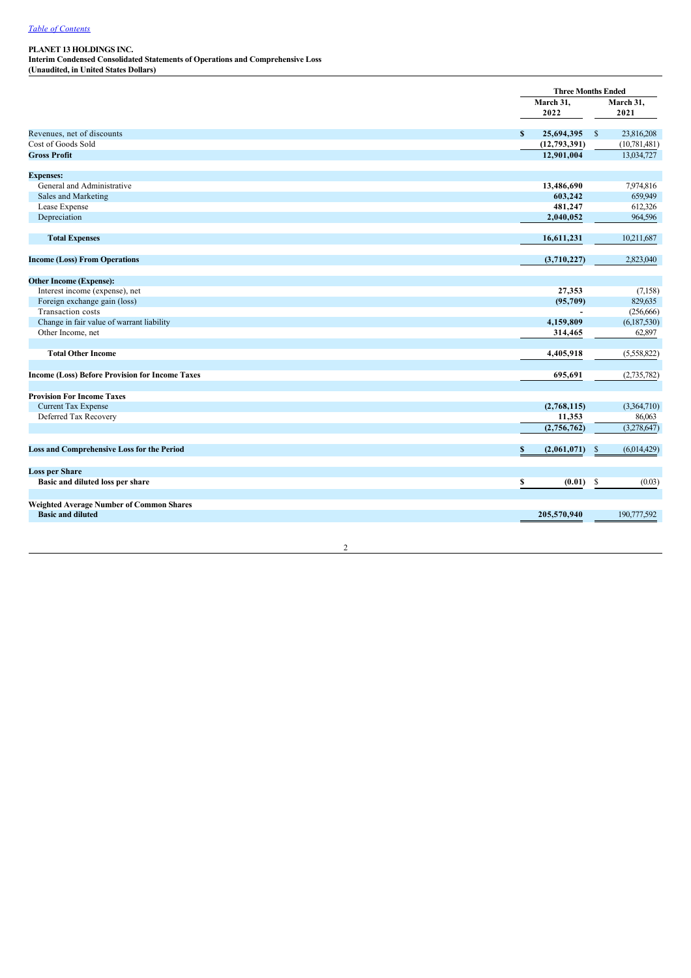**Interim Condensed Consolidated Statements of Operations and Comprehensive Loss (Unaudited, in United States Dollars)**

|                                                        |                   | <b>Three Months Ended</b>   |
|--------------------------------------------------------|-------------------|-----------------------------|
|                                                        | March 31,         | March 31,                   |
|                                                        | 2022              | 2021                        |
| Revenues, net of discounts                             | 25,694,395<br>S   | 23,816,208<br>$\mathbb{S}$  |
| Cost of Goods Sold                                     | (12, 793, 391)    | (10, 781, 481)              |
| <b>Gross Profit</b>                                    | 12,901,004        | 13,034,727                  |
| <b>Expenses:</b>                                       |                   |                             |
| General and Administrative                             | 13,486,690        | 7,974,816                   |
| Sales and Marketing                                    | 603,242           | 659,949                     |
| Lease Expense                                          | 481,247           | 612,326                     |
| Depreciation                                           | 2,040,052         | 964,596                     |
| <b>Total Expenses</b>                                  | 16,611,231        | 10,211,687                  |
| <b>Income (Loss) From Operations</b>                   | (3,710,227)       | 2,823,040                   |
|                                                        |                   |                             |
| <b>Other Income (Expense):</b>                         |                   |                             |
| Interest income (expense), net                         | 27,353            | (7,158)                     |
| Foreign exchange gain (loss)                           | (95, 709)         | 829,635                     |
| Transaction costs                                      |                   | (256, 666)                  |
| Change in fair value of warrant liability              | 4,159,809         | (6,187,530)                 |
| Other Income, net                                      | 314,465           | 62,897                      |
| <b>Total Other Income</b>                              | 4,405,918         | (5,558,822)                 |
|                                                        |                   |                             |
| <b>Income (Loss) Before Provision for Income Taxes</b> | 695,691           | (2,735,782)                 |
| <b>Provision For Income Taxes</b>                      |                   |                             |
| <b>Current Tax Expense</b>                             | (2,768,115)       | (3,364,710)                 |
| Deferred Tax Recovery                                  | 11,353            | 86,063                      |
|                                                        | (2,756,762)       | (3,278,647)                 |
| <b>Loss and Comprehensive Loss for the Period</b>      | \$<br>(2,061,071) | (6,014,429)<br>$\mathbb{S}$ |
| <b>Loss per Share</b>                                  |                   |                             |
| Basic and diluted loss per share                       | \$<br>(0.01)      | $\mathbb{S}$<br>(0.03)      |
| <b>Weighted Average Number of Common Shares</b>        |                   |                             |
| <b>Basic and diluted</b>                               | 205,570,940       | 190,777,592                 |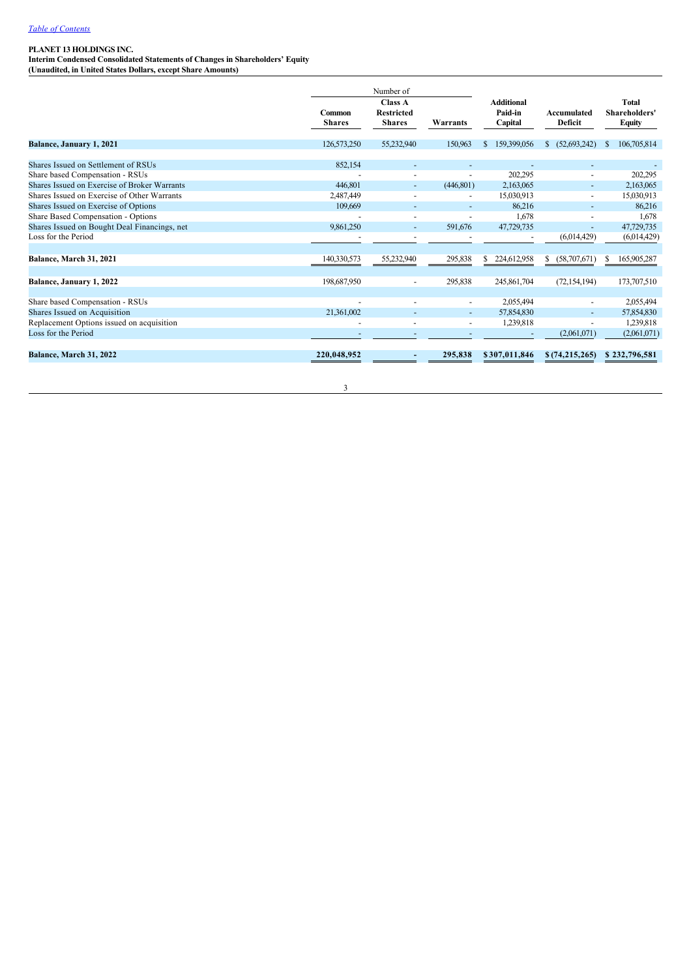**Interim Condensed Consolidated Statements of Changes in Shareholders' Equity (Unaudited, in United States Dollars, except Share Amounts)**

Number of **Common Shares Class A Restricted Shares Warrants Additional Paidin Capital Accumulated Deficit Total Shareholders' Equity Balance, January 1, 2021** 126,573,250 126,573,250 55,232,940 150,963 \$ 159,399,056 \$ (52,693,242) \$ 106,705,814 Shares Issued on Settlement of RSUs and the SS2,154 and the SS2,154 and the SS2,154 and the SS2,154 and the SS2,154 and the SS2,154 and the SS2,154 and the SS2,154 and the SS2,154 and the SS2,154 and the SS2,154 and the SS Share based Compensation - RSUs <br>
Shares Issued on Exercise of Broker Warrants<br>
2,163,065 - 2,163,065 - 2,163,065 - 2,163,065 - 2,163,065 - 2,163,065 - 2,163,065 - 2,163,065 - 2,163,065 - 2,163,065 - 2,163,065 - 2,163,065 Shares Issued on Exercise of Broker Warrants 446,801 (446,801) 2,163,065 2,163,065 Shares Issued on Exercise of Other Warrants 2,487,449 15,030,913 15,030,913 15,030,913 15,030,913 15,030,913 15,030,913 15,030,913 15,030,913 16,030,913 16,030,913 16,030,913 16,030,913 16,030,913 Shares Issued on Exercise of Options 109,669 86,216 86,216 86,216 86,216 86,216 86,216 86,216 86,216 86,216 86,216 86,216 86,216 86,216 86,216 86,216 86,216 86,216 86,216 86,216 86,21 Share Based Compensation - Options (1,678 1,678 1,678 1,678 1,678 1,678 1,678 1,678 1,678 1,678 1,678 1,678 1,678 1,678 1,678 1,678 1,678 1,678 1,678 1,678 1,678 1,678 1,678 1,678 1,678 1,678 1,678 1,678 1,678 1,729,735 1, Shares Issued on Bought Deal Financings, net 9,861,250 591,676 47,729,735 591,676 47,729,735 591,676 47,729,735 47,729,735 591,676 47,729,735 47,729,735 47,729,735 47,729,735 47,729,735 47,729,735 47,729,735 47 Loss for the Period (6,014,429) (6,014,429) (6,014,429) **Balance, March 31, 2021** 140,330,573 140,330,573 55,232,940 295,838 \$ 224,612,958 \$ (58,707,671) \$ 165,905,287 **Balance, January 1, 2022** 198,687,950 198,687,950 245,861,704 (72,154,194) 173,707,510 Share based Compensation RSUs 2,055,494 2,055,494 Shares Issued on Acquisition 21,361,002 <br>
Replacement Options issued on acquisition 21,361,002 57,854,830 57,854,830 57,854,830 57,854,830 57,854,830 Replacement Options issued on acquisition and acquisition and the set of the Period (2,061,071) (2,061,071) (2,061,071) (2,061,071) (2,061,071) (2,061,071)  $\overline{\text{Loss}}$  for the Period **Balance, March 31, 2022 220,048,952 295,838 \$ 307,011,846 \$ (74,215,265) \$ 232,796,581**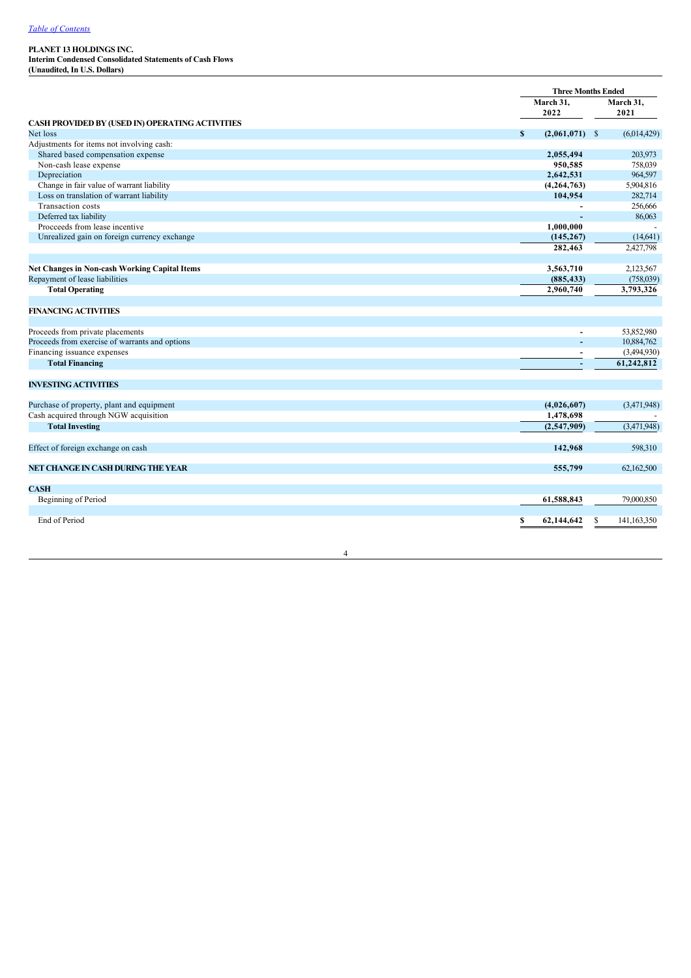**Interim Condensed Consolidated Statements of Cash Flows (Unaudited, In U.S. Dollars)**

| March 31,<br>March 31,<br>2022<br>2021<br>CASH PROVIDED BY (USED IN) OPERATING ACTIVITIES<br>Net loss<br>$\mathbf{s}$<br>$(2,061,071)$ \$<br>(6,014,429)<br>Adjustments for items not involving cash:<br>Shared based compensation expense<br>2,055,494<br>203,973<br>Non-cash lease expense<br>950,585<br>758,039<br>Depreciation<br>2,642,531<br>Change in fair value of warrant liability<br>(4,264,763)<br>5,904,816<br>Loss on translation of warrant liability<br>104,954<br>Transaction costs | <b>Three Months Ended</b> |  |
|------------------------------------------------------------------------------------------------------------------------------------------------------------------------------------------------------------------------------------------------------------------------------------------------------------------------------------------------------------------------------------------------------------------------------------------------------------------------------------------------------|---------------------------|--|
|                                                                                                                                                                                                                                                                                                                                                                                                                                                                                                      |                           |  |
|                                                                                                                                                                                                                                                                                                                                                                                                                                                                                                      |                           |  |
|                                                                                                                                                                                                                                                                                                                                                                                                                                                                                                      |                           |  |
|                                                                                                                                                                                                                                                                                                                                                                                                                                                                                                      |                           |  |
|                                                                                                                                                                                                                                                                                                                                                                                                                                                                                                      |                           |  |
|                                                                                                                                                                                                                                                                                                                                                                                                                                                                                                      |                           |  |
|                                                                                                                                                                                                                                                                                                                                                                                                                                                                                                      |                           |  |
|                                                                                                                                                                                                                                                                                                                                                                                                                                                                                                      | 964,597                   |  |
|                                                                                                                                                                                                                                                                                                                                                                                                                                                                                                      |                           |  |
|                                                                                                                                                                                                                                                                                                                                                                                                                                                                                                      | 282,714                   |  |
|                                                                                                                                                                                                                                                                                                                                                                                                                                                                                                      | 256,666                   |  |
| Deferred tax liability<br>÷                                                                                                                                                                                                                                                                                                                                                                                                                                                                          | 86,063                    |  |
| Procceeds from lease incentive<br>1,000,000                                                                                                                                                                                                                                                                                                                                                                                                                                                          |                           |  |
| Unrealized gain on foreign currency exchange<br>(145, 267)                                                                                                                                                                                                                                                                                                                                                                                                                                           | (14, 641)                 |  |
| 282,463<br>2,427,798                                                                                                                                                                                                                                                                                                                                                                                                                                                                                 |                           |  |
|                                                                                                                                                                                                                                                                                                                                                                                                                                                                                                      |                           |  |
| <b>Net Changes in Non-cash Working Capital Items</b><br>3,563,710<br>2,123,567                                                                                                                                                                                                                                                                                                                                                                                                                       |                           |  |
| Repayment of lease liabilities<br>(885, 433)                                                                                                                                                                                                                                                                                                                                                                                                                                                         | (758,039)                 |  |
| <b>Total Operating</b><br>2,960,740<br>3,793,326                                                                                                                                                                                                                                                                                                                                                                                                                                                     |                           |  |
|                                                                                                                                                                                                                                                                                                                                                                                                                                                                                                      |                           |  |
| <b>FINANCING ACTIVITIES</b>                                                                                                                                                                                                                                                                                                                                                                                                                                                                          |                           |  |
|                                                                                                                                                                                                                                                                                                                                                                                                                                                                                                      |                           |  |
| 53,852,980<br>Proceeds from private placements<br>$\overline{a}$                                                                                                                                                                                                                                                                                                                                                                                                                                     |                           |  |
| Proceeds from exercise of warrants and options<br>10,884,762                                                                                                                                                                                                                                                                                                                                                                                                                                         |                           |  |
| Financing issuance expenses<br>(3,494,930)                                                                                                                                                                                                                                                                                                                                                                                                                                                           |                           |  |
| 61,242,812<br><b>Total Financing</b>                                                                                                                                                                                                                                                                                                                                                                                                                                                                 |                           |  |
|                                                                                                                                                                                                                                                                                                                                                                                                                                                                                                      |                           |  |
| <b>INVESTING ACTIVITIES</b>                                                                                                                                                                                                                                                                                                                                                                                                                                                                          |                           |  |
|                                                                                                                                                                                                                                                                                                                                                                                                                                                                                                      |                           |  |
| Purchase of property, plant and equipment<br>(3,471,948)<br>(4,026,607)                                                                                                                                                                                                                                                                                                                                                                                                                              |                           |  |
| Cash acquired through NGW acquisition<br>1,478,698                                                                                                                                                                                                                                                                                                                                                                                                                                                   |                           |  |
| <b>Total Investing</b><br>(3,471,948)<br>(2,547,909)                                                                                                                                                                                                                                                                                                                                                                                                                                                 |                           |  |
|                                                                                                                                                                                                                                                                                                                                                                                                                                                                                                      |                           |  |
| 142,968                                                                                                                                                                                                                                                                                                                                                                                                                                                                                              | 598,310                   |  |
| Effect of foreign exchange on cash                                                                                                                                                                                                                                                                                                                                                                                                                                                                   |                           |  |
| NET CHANGE IN CASH DURING THE YEAR                                                                                                                                                                                                                                                                                                                                                                                                                                                                   |                           |  |
| 555,799<br>62,162,500                                                                                                                                                                                                                                                                                                                                                                                                                                                                                |                           |  |
|                                                                                                                                                                                                                                                                                                                                                                                                                                                                                                      |                           |  |
| <b>CASH</b><br>61,588,843                                                                                                                                                                                                                                                                                                                                                                                                                                                                            |                           |  |
| Beginning of Period<br>79,000,850                                                                                                                                                                                                                                                                                                                                                                                                                                                                    |                           |  |
|                                                                                                                                                                                                                                                                                                                                                                                                                                                                                                      |                           |  |
| End of Period<br>S<br>62,144,642<br>\$<br>141, 163, 350                                                                                                                                                                                                                                                                                                                                                                                                                                              |                           |  |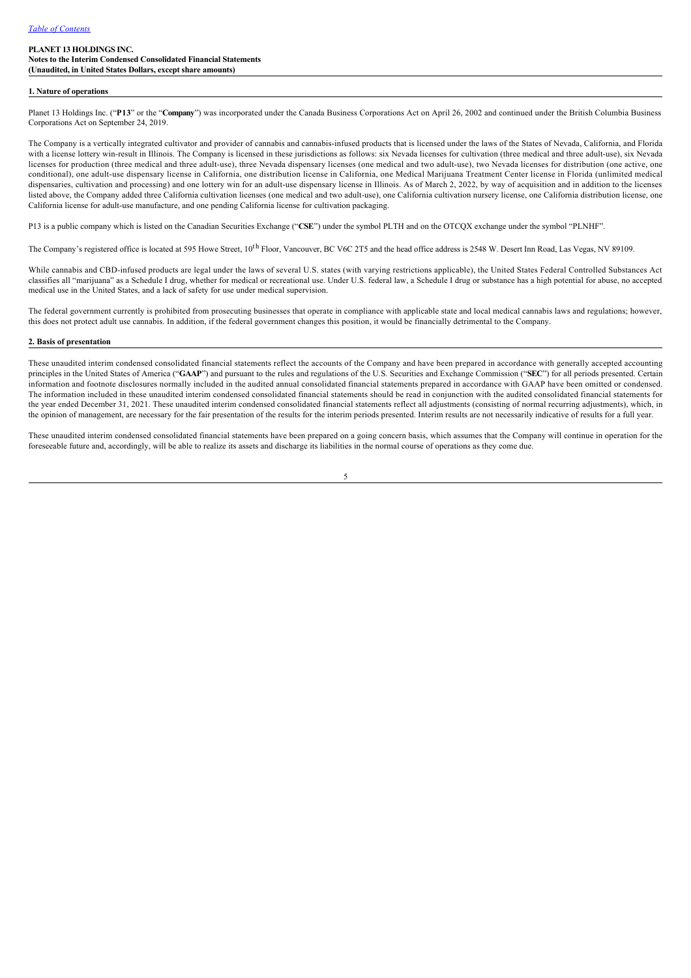#### **1. Nature of operations**

Planet 13 Holdings Inc. ("**P13**" or the "**Company**") was incorporated under the Canada Business Corporations Act on April 26, 2002 and continued under the British Columbia Business Corporations Act on September 24, 2019.

The Company is a vertically integrated cultivator and provider of cannabis and cannabisinfused products that is licensed under the laws of the States of Nevada, California, and Florida with a license lottery win-result in Illinois. The Company is licensed in these jurisdictions as follows: six Nevada licenses for cultivation (three medical and three adult-use), six Nevada licenses for production (three medical and three adult-use), three Nevada dispensary licenses (one medical and two adult-use), two Nevada licenses for distribution (one active, one conditional), one adult-use dispensary license in California, one distribution license in California, one Medical Marijuana Treatment Center license in Florida (unlimited medical dispensaries, cultivation and processing) and one lottery win for an adult-use dispensary license in Illinois. As of March 2, 2022, by way of acquisition and in addition to the licenses listed above, the Company added three California cultivation licenses (one medical and two adult-use), one California cultivation nursery license, one California distribution license, one California license for adult-use manufacture, and one pending California license for cultivation packaging.

P13 is a public company which is listed on the Canadian Securities Exchange ("**CSE**") under the symbol PLTH and on the OTCQX exchange under the symbol "PLNHF".

The Company's registered office is located at 595 Howe Street, 10<sup>th</sup> Floor, Vancouver, BC V6C 2T5 and the head office address is 2548 W. Desert Inn Road, Las Vegas, NV 89109.

While cannabis and CBD-infused products are legal under the laws of several U.S. states (with varying restrictions applicable), the United States Federal Controlled Substances Act classifies all "marijuana" as a Schedule I drug, whether for medical or recreational use. Under U.S. federal law, a Schedule I drug or substance has a high potential for abuse, no accepted medical use in the United States, and a lack of safety for use under medical supervision.

The federal government currently is prohibited from prosecuting businesses that operate in compliance with applicable state and local medical cannabis laws and regulations; however, this does not protect adult use cannabis. In addition, if the federal government changes this position, it would be financially detrimental to the Company.

#### **2. Basis of presentation**

These unaudited interim condensed consolidated financial statements reflect the accounts of the Company and have been prepared in accordance with generally accepted accounting principles in the United States of America ("**GAAP**") and pursuant to the rules and regulations of the U.S. Securities and Exchange Commission ("**SEC**") for all periods presented. Certain information and footnote disclosures normally included in the audited annual consolidated financial statements prepared in accordance with GAAP have been omitted or condensed. The information included in these unaudited interim condensed consolidated financial statements should be read in conjunction with the audited consolidated financial statements for the year ended December 31, 2021. These unaudited interim condensed consolidated financial statements reflect all adjustments (consisting of normal recurring adjustments), which, in the opinion of management, are necessary for the fair presentation of the results for the interim periods presented. Interim results are not necessarily indicative of results for a full year.

These unaudited interim condensed consolidated financial statements have been prepared on a going concern basis, which assumes that the Company will continue in operation for the foreseeable future and, accordingly, will be able to realize its assets and discharge its liabilities in the normal course of operations as they come due.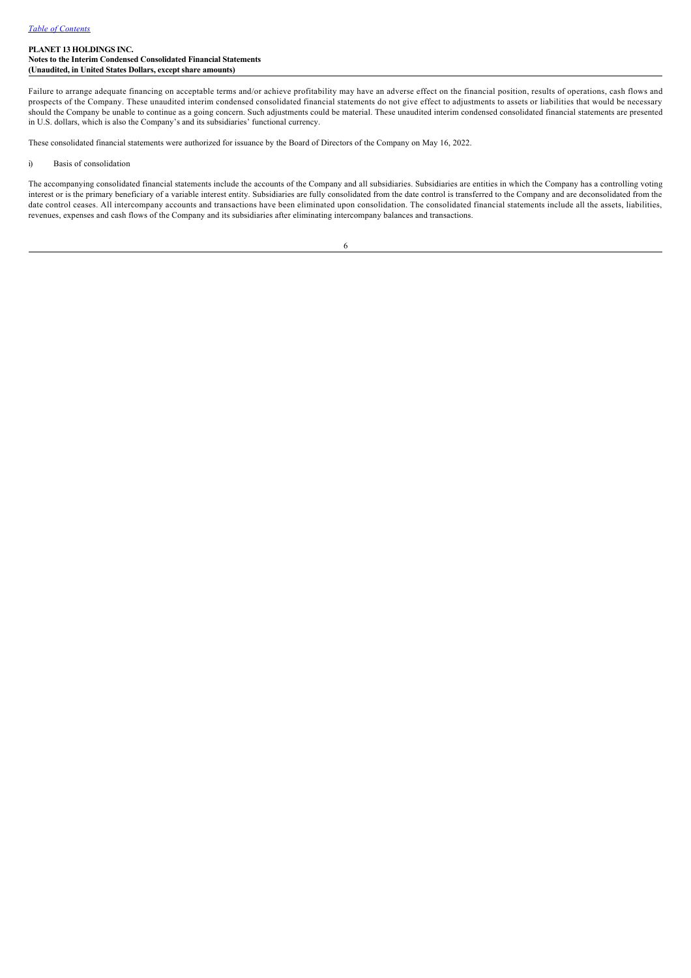Failure to arrange adequate financing on acceptable terms and/or achieve profitability may have an adverse effect on the financial position, results of operations, cash flows and prospects of the Company. These unaudited interim condensed consolidated financial statements do not give effect to adjustments to assets or liabilities that would be necessary should the Company be unable to continue as a going concern. Such adjustments could be material. These unaudited interim condensed consolidated financial statements are presented in U.S. dollars, which is also the Company's and its subsidiaries' functional currency.

These consolidated financial statements were authorized for issuance by the Board of Directors of the Company on May 16, 2022.

### i) Basis of consolidation

The accompanying consolidated financial statements include the accounts of the Company and all subsidiaries. Subsidiaries are entities in which the Company has a controlling voting interest or is the primary beneficiary of a variable interest entity. Subsidiaries are fully consolidated from the date control is transferred to the Company and are deconsolidated from the date control ceases. All intercompany accounts and transactions have been eliminated upon consolidation. The consolidated financial statements include all the assets, liabilities, revenues, expenses and cash flows of the Company and its subsidiaries after eliminating intercompany balances and transactions.

| ť,     |  |
|--------|--|
| ×<br>ï |  |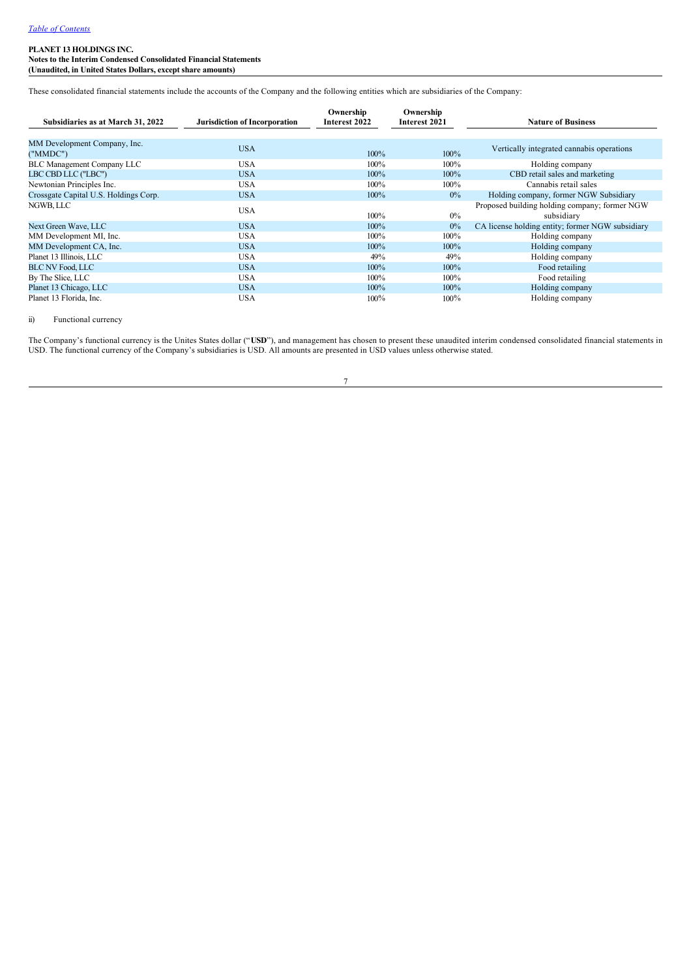**Notes to the Interim Condensed Consolidated Financial Statements (Unaudited, in United States Dollars, except share amounts)**

These consolidated financial statements include the accounts of the Company and the following entities which are subsidiaries of the Company:

| Subsidiaries as at March 31, 2022        | <b>Jurisdiction of Incorporation</b> | Ownership<br>Interest 2022 | Ownership<br>Interest 2021 | <b>Nature of Business</b>                                   |
|------------------------------------------|--------------------------------------|----------------------------|----------------------------|-------------------------------------------------------------|
| MM Development Company, Inc.<br>("MMDC") | <b>USA</b>                           | $100\%$                    | 100%                       | Vertically integrated cannabis operations                   |
| <b>BLC Management Company LLC</b>        | <b>USA</b>                           | 100%                       | $100\%$                    | Holding company                                             |
| LBC CBD LLC ("LBC")                      | <b>USA</b>                           | 100%                       | 100%                       | CBD retail sales and marketing                              |
| Newtonian Principles Inc.                | <b>USA</b>                           | 100%                       | $100\%$                    | Cannabis retail sales                                       |
| Crossgate Capital U.S. Holdings Corp.    | <b>USA</b>                           | 100%                       | $0\%$                      | Holding company, former NGW Subsidiary                      |
| NGWB, LLC                                | <b>USA</b>                           | 100%                       | $0\%$                      | Proposed building holding company; former NGW<br>subsidiary |
| Next Green Wave, LLC                     | <b>USA</b>                           | $100\%$                    | $0\%$                      | CA license holding entity; former NGW subsidiary            |
| MM Development MI, Inc.                  | <b>USA</b>                           | 100%                       | $100\%$                    | Holding company                                             |
| MM Development CA, Inc.                  | <b>USA</b>                           | 100%                       | 100%                       | Holding company                                             |
| Planet 13 Illinois, LLC                  | <b>USA</b>                           | 49%                        | 49%                        | Holding company                                             |
| <b>BLC NV Food, LLC</b>                  | <b>USA</b>                           | 100%                       | 100%                       | Food retailing                                              |
| By The Slice, LLC                        | <b>USA</b>                           | 100%                       | $100\%$                    | Food retailing                                              |
| Planet 13 Chicago, LLC                   | <b>USA</b>                           | 100%                       | 100%                       | Holding company                                             |
| Planet 13 Florida, Inc.                  | <b>USA</b>                           | $100\%$                    | $100\%$                    | Holding company                                             |

#### ii) Functional currency

The Company's functional currency is the Unites States dollar ("USD"), and management has chosen to present these unaudited interim condensed consolidated financial statements in USD. The functional currency of the Company's subsidiaries is USD. All amounts are presented in USD values unless otherwise stated.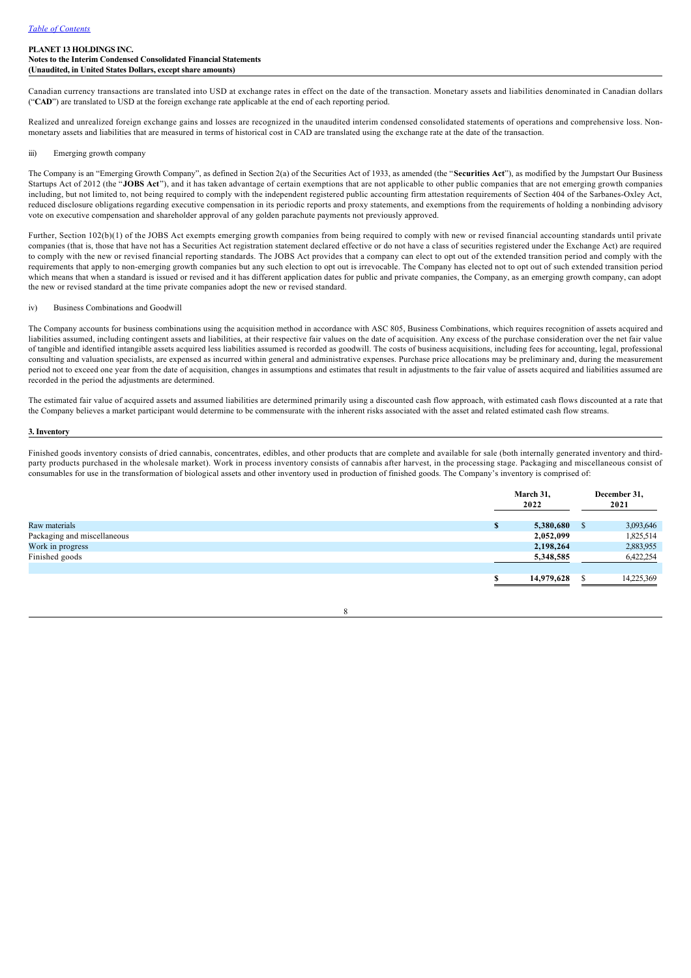Canadian currency transactions are translated into USD at exchange rates in effect on the date of the transaction. Monetary assets and liabilities denominated in Canadian dollars ("**CAD**") are translated to USD at the foreign exchange rate applicable at the end of each reporting period.

Realized and unrealized foreign exchange gains and losses are recognized in the unaudited interim condensed consolidated statements of operations and comprehensive loss. Nonmonetary assets and liabilities that are measured in terms of historical cost in CAD are translated using the exchange rate at the date of the transaction.

#### iii) Emerging growth company

The Company is an "Emerging Growth Company", as defined in Section 2(a) of the Securities Act of 1933, as amended (the "**Securities Act**"), as modified by the Jumpstart Our Business Startups Act of 2012 (the "**JOBS Act**"), and it has taken advantage of certain exemptions that are not applicable to other public companies that are not emerging growth companies including, but not limited to, not being required to comply with the independent registered public accounting firm attestation requirements of Section 404 of the Sarbanes-Oxley Act, reduced disclosure obligations regarding executive compensation in its periodic reports and proxy statements, and exemptions from the requirements of holding a nonbinding advisory vote on executive compensation and shareholder approval of any golden parachute payments not previously approved.

Further, Section 102(b)(1) of the JOBS Act exempts emerging growth companies from being required to comply with new or revised financial accounting standards until private companies (that is, those that have not has a Securities Act registration statement declared effective or do not have a class of securities registered under the Exchange Act) are required to comply with the new or revised financial reporting standards. The JOBS Act provides that a company can elect to opt out of the extended transition period and comply with the requirements that apply to non-emerging growth companies but any such election to opt out is irrevocable. The Company has elected not to opt out of such extended transition period which means that when a standard is issued or revised and it has different application dates for public and private companies, the Company, as an emerging growth company, can adopt the new or revised standard at the time private companies adopt the new or revised standard.

#### iv) Business Combinations and Goodwill

The Company accounts for business combinations using the acquisition method in accordance with ASC 805, Business Combinations, which requires recognition of assets acquired and liabilities assumed, including contingent assets and liabilities, at their respective fair values on the date of acquisition. Any excess of the purchase consideration over the net fair value of tangible and identified intangible assets acquired less liabilities assumed is recorded as goodwill. The costs of business acquisitions, including fees for accounting, legal, professional consulting and valuation specialists, are expensed as incurred within general and administrative expenses. Purchase price allocations may be preliminary and, during the measurement period not to exceed one year from the date of acquisition, changes in assumptions and estimates that result in adjustments to the fair value of assets acquired and liabilities assumed are recorded in the period the adjustments are determined.

The estimated fair value of acquired assets and assumed liabilities are determined primarily using a discounted cash flow approach, with estimated cash flows discounted at a rate that the Company believes a market participant would determine to be commensurate with the inherent risks associated with the asset and related estimated cash flow streams.

#### **3. Inventory**

Finished goods inventory consists of dried cannabis, concentrates, edibles, and other products that are complete and available for sale (both internally generated inventory and thirdparty products purchased in the wholesale market). Work in process inventory consists of cannabis after harvest, in the processing stage. Packaging and miscellaneous consist of consumables for use in the transformation of biological assets and other inventory used in production of finished goods. The Company's inventory is comprised of:

|                             | March 31,<br>2022 |     | December 31,<br>2021 |  |
|-----------------------------|-------------------|-----|----------------------|--|
| Raw materials               | 5,380,680         | - 8 | 3,093,646            |  |
| Packaging and miscellaneous | 2,052,099         |     | 1,825,514            |  |
| Work in progress            | 2,198,264         |     | 2,883,955            |  |
| Finished goods              | 5,348,585         |     | 6,422,254            |  |
|                             | 14,979,628        |     | 14,225,369           |  |

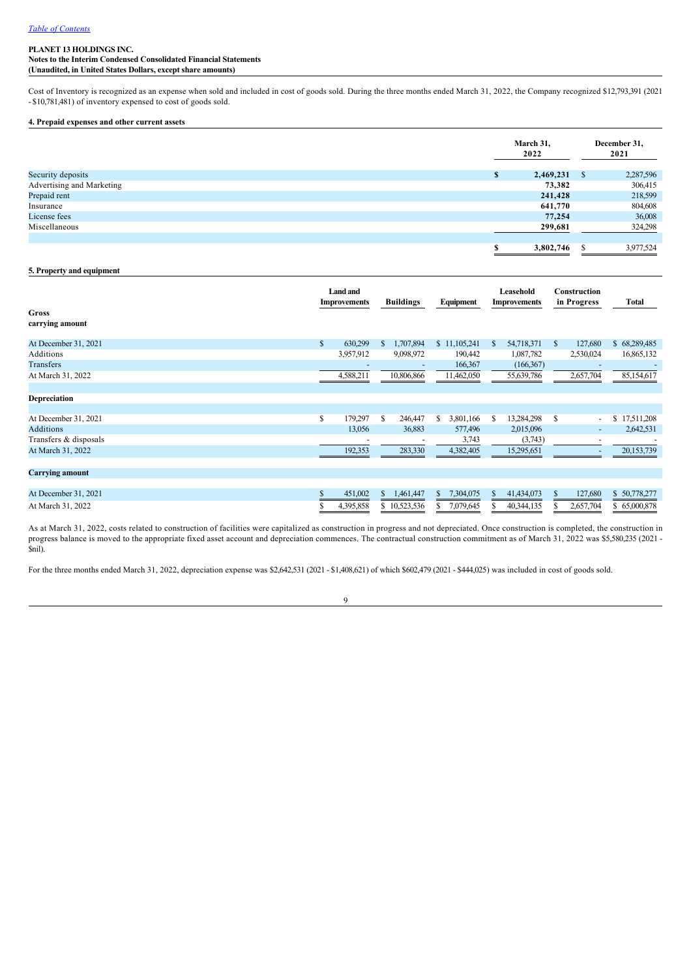**Notes to the Interim Condensed Consolidated Financial Statements (Unaudited, in United States Dollars, except share amounts)**

Cost of Inventory is recognized as an expense when sold and included in cost of goods sold. During the three months ended March 31, 2022, the Company recognized \$12,793,391 (2021 \$10,781,481) of inventory expensed to cost of goods sold.

### **4. Prepaid expenses and other current assets**

|                           |   | March 31,<br>2022 | December 31,<br>2021 |           |  |
|---------------------------|---|-------------------|----------------------|-----------|--|
| Security deposits         | л | 2,469,231         | <sup>S</sup>         | 2,287,596 |  |
| Advertising and Marketing |   | 73,382            |                      | 306,415   |  |
| Prepaid rent              |   | 241,428           |                      | 218,599   |  |
| Insurance                 |   | 641,770           |                      | 804,608   |  |
| License fees              |   | 77,254            |                      | 36,008    |  |
| Miscellaneous             |   | 299,681           |                      | 324,298   |  |
|                           |   |                   |                      |           |  |
|                           | œ | 3,802,746         | S                    | 3,977,524 |  |

### **5. Property and equipment**

| <b>Gross</b><br>carrying amount | <b>Land and</b><br><b>Improvements</b> |               | <b>Buildings</b>         |    | Equipment    |    | Leasehold<br><b>Improvements</b> |    | Construction<br>in Progress | Total            |
|---------------------------------|----------------------------------------|---------------|--------------------------|----|--------------|----|----------------------------------|----|-----------------------------|------------------|
|                                 |                                        |               |                          |    |              |    |                                  |    |                             |                  |
| At December 31, 2021            | \$<br>630,299                          | <sup>\$</sup> | 1,707,894                |    | \$11,105,241 | S  | 54,718,371                       | S. | 127,680                     | \$68,289,485     |
| Additions                       | 3,957,912                              |               | 9,098,972                |    | 190,442      |    | 1,087,782                        |    | 2,530,024                   | 16,865,132       |
| Transfers                       |                                        |               | $\overline{\phantom{a}}$ |    | 166,367      |    | (166, 367)                       |    | ٠                           |                  |
| At March 31, 2022               | 4,588,211                              |               | 10,806,866               |    | 11,462,050   |    | 55,639,786                       |    | 2,657,704                   | 85,154,617       |
|                                 |                                        |               |                          |    |              |    |                                  |    |                             |                  |
| Depreciation                    |                                        |               |                          |    |              |    |                                  |    |                             |                  |
|                                 |                                        |               |                          |    |              |    |                                  |    |                             |                  |
| At December 31, 2021            | \$<br>179,297                          | <sup>\$</sup> | 246,447                  | S. | 3,801,166    | S. | 13,284,298                       | S  | $\overline{\phantom{a}}$    | 17,511,208<br>\$ |
| <b>Additions</b>                | 13,056                                 |               | 36,883                   |    | 577,496      |    | 2,015,096                        |    | $\overline{\phantom{a}}$    | 2,642,531        |
| Transfers & disposals           |                                        |               |                          |    | 3,743        |    | (3,743)                          |    | $\overline{\phantom{0}}$    |                  |
| At March 31, 2022               | 192,353                                |               | 283,330                  |    | 4,382,405    |    | 15,295,651                       |    |                             | 20,153,739       |
|                                 |                                        |               |                          |    |              |    |                                  |    |                             |                  |
| <b>Carrying amount</b>          |                                        |               |                          |    |              |    |                                  |    |                             |                  |
|                                 |                                        |               |                          |    |              |    |                                  |    |                             |                  |
| At December 31, 2021            | \$<br>451,002                          | S.            | 1,461,447                | S. | 7,304,075    | S. | 41,434,073                       | S. | 127,680                     | \$50,778,277     |
| At March 31, 2022               | 4,395,858                              |               | \$10,523,536             |    | 7,079,645    |    | 40,344,135                       |    | 2,657,704                   | \$65,000,878     |

As at March 31, 2022, costs related to construction of facilities were capitalized as construction in progress and not depreciated. Once construction is completed, the construction in progress balance is moved to the appropriate fixed asset account and depreciation commences. The contractual construction commitment as of March 31, 2022 was \$5,580,235 (2021 -\$nil).

For the three months ended March 31, 2022, depreciation expense was \$2,642,531 (2021 - \$1,408,621) of which \$602,479 (2021 - \$444,025) was included in cost of goods sold.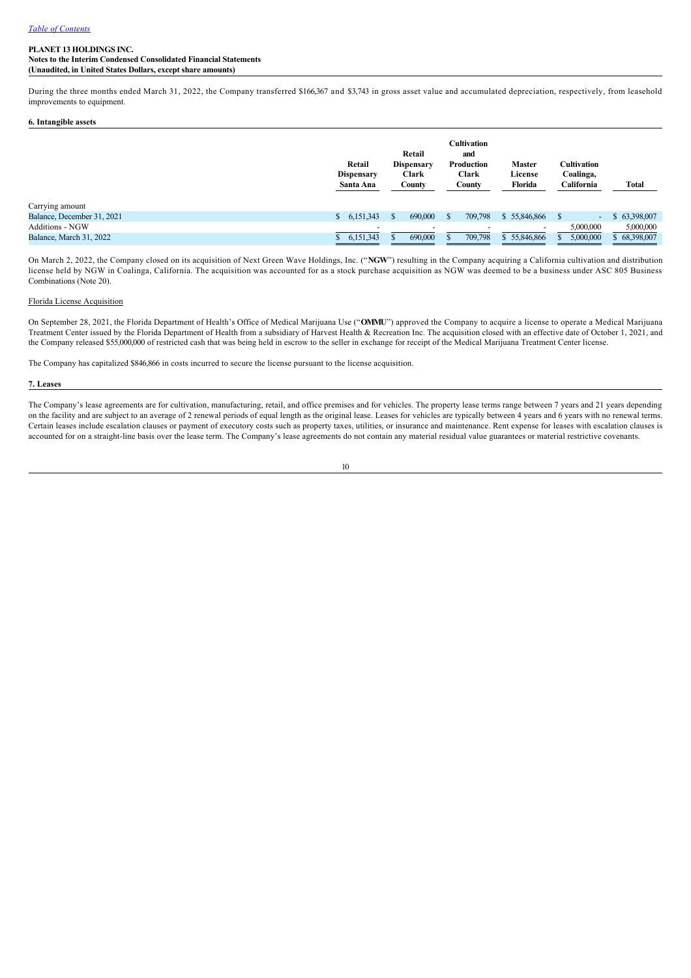**Notes to the Interim Condensed Consolidated Financial Statements (Unaudited, in United States Dollars, except share amounts)**

During the three months ended March 31, 2022, the Company transferred \$166,367 and \$3,743 in gross asset value and accumulated depreciation, respectively, from leasehold improvements to equipment.

### **6. Intangible assets**

|                            | Retail<br><b>Dispensary</b><br>Santa Ana | Retail<br><b>Dispensary</b><br>Clark<br>County | Cultivation<br>and<br>Production<br>Clark<br>County | <b>Master</b><br>License<br>Florida | Cultivation<br>Coalinga,<br>California | Total        |
|----------------------------|------------------------------------------|------------------------------------------------|-----------------------------------------------------|-------------------------------------|----------------------------------------|--------------|
| Carrying amount            |                                          |                                                |                                                     |                                     |                                        |              |
| Balance, December 31, 2021 | 6,151,343<br>\$                          | 690,000                                        | 709,798                                             | \$55,846,866                        | $\sim$                                 | \$63,398,007 |
| <b>Additions - NGW</b>     |                                          |                                                |                                                     |                                     | 5,000,000                              | 5,000,000    |
| Balance, March 31, 2022    | 6,151,343                                | 690,000                                        | 709,798                                             | \$55,846,866                        | 5,000,000                              | \$68,398,007 |

On March 2, 2022, the Company closed on its acquisition of Next Green Wave Holdings, Inc. ("**NGW**") resulting in the Company acquiring a California cultivation and distribution license held by NGW in Coalinga, California. The acquisition was accounted for as a stock purchase acquisition as NGW was deemed to be a business under ASC 805 Business Combinations (Note 20).

#### Florida License Acquisition

On September 28, 2021, the Florida Department of Health's Office of Medical Marijuana Use ("**OMMU**") approved the Company to acquire a license to operate a Medical Marijuana Treatment Center issued by the Florida Department of Health from a subsidiary of Harvest Health & Recreation Inc. The acquisition closed with an effective date of October 1, 2021, and the Company released \$55,000,000 of restricted cash that was being held in escrow to the seller in exchange for receipt of the Medical Marijuana Treatment Center license.

The Company has capitalized \$846,866 in costs incurred to secure the license pursuant to the license acquisition.

#### **7. Leases**

The Company's lease agreements are for cultivation, manufacturing, retail, and office premises and for vehicles. The property lease terms range between 7 years and 21 years depending on the facility and are subject to an average of 2 renewal periods of equal length as the original lease. Leases for vehicles are typically between 4 years and 6 years with no renewal terms. Certain leases include escalation clauses or payment of executory costs such as property taxes, utilities, or insurance and maintenance. Rent expense for leases with escalation clauses is accounted for on a straight-line basis over the lease term. The Company's lease agreements do not contain any material residual value guarantees or material restrictive covenants.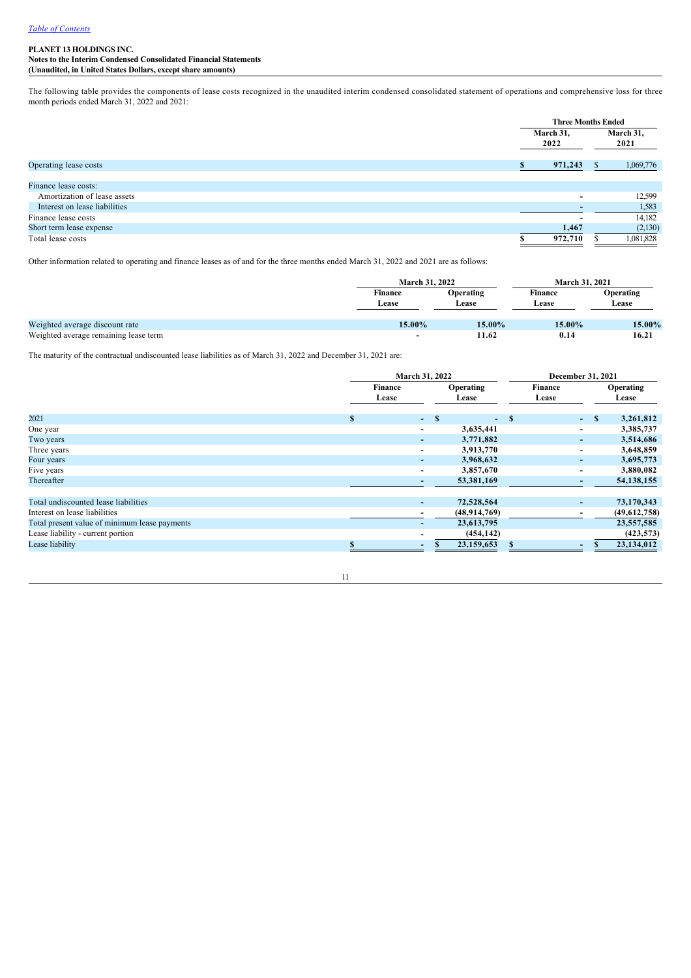**Notes to the Interim Condensed Consolidated Financial Statements (Unaudited, in United States Dollars, except share amounts)**

The following table provides the components of lease costs recognized in the unaudited interim condensed consolidated statement of operations and comprehensive loss for three month periods ended March 31, 2022 and 2021:

|                               | <b>Three Months Ended</b> |   |                   |  |  |
|-------------------------------|---------------------------|---|-------------------|--|--|
|                               | March 31,<br>2022         |   | March 31,<br>2021 |  |  |
| Operating lease costs         | 971,243                   | ж | 1,069,776         |  |  |
| Finance lease costs:          |                           |   |                   |  |  |
| Amortization of lease assets  | -                         |   | 12,599            |  |  |
| Interest on lease liabilities |                           |   | 1,583             |  |  |
| Finance lease costs           |                           |   | 14,182            |  |  |
| Short term lease expense      | 1,467                     |   | (2,130)           |  |  |
| Total lease costs             | 972.710                   |   | 1,081,828         |  |  |

Other information related to operating and finance leases as of and for the three months ended March 31, 2022 and 2021 are as follows:

|                                       | <b>March 31, 2022</b>    |                           | <b>March 31, 2021</b>   |                    |
|---------------------------------------|--------------------------|---------------------------|-------------------------|--------------------|
|                                       | <b>Finance</b><br>Lease  | <b>Operating</b><br>Lease | <b>Finance</b><br>Lease | Operating<br>Lease |
| Weighted average discount rate        | 15.00%                   | 15.00%                    | 15.00%                  | 15.00%             |
| Weighted average remaining lease term | $\overline{\phantom{0}}$ | 11.62                     | 0.14                    | 16.21              |

The maturity of the contractual undiscounted lease liabilities as of March 31, 2022 and December 31, 2021 are:

|                                               | March 31, 2022 |                          |       |                    | December 31, 2021 |                  |                          |  |                    |  |
|-----------------------------------------------|----------------|--------------------------|-------|--------------------|-------------------|------------------|--------------------------|--|--------------------|--|
|                                               |                | Finance<br>Lease         |       | Operating<br>Lease |                   | Finance<br>Lease |                          |  | Operating<br>Lease |  |
| 2021                                          | <b>S</b>       |                          | $-$ S | $-$ \$             |                   |                  | $-$ \$                   |  | 3,261,812          |  |
| One year                                      |                | $\overline{\phantom{a}}$ |       | 3,635,441          |                   |                  | ٠                        |  | 3,385,737          |  |
| Two years                                     |                | ٠                        |       | 3,771,882          |                   |                  | ٠                        |  | 3,514,686          |  |
| Three years                                   |                | $\overline{\phantom{a}}$ |       | 3,913,770          |                   |                  | ٠                        |  | 3,648,859          |  |
| Four years                                    |                | ۰                        |       | 3,968,632          |                   |                  | $\overline{\phantom{a}}$ |  | 3,695,773          |  |
| Five years                                    |                | $\blacksquare$           |       | 3,857,670          |                   |                  | $\overline{\phantom{0}}$ |  | 3,880,082          |  |
| Thereafter                                    |                | $\overline{\phantom{0}}$ |       | 53,381,169         |                   |                  | ۰                        |  | 54, 138, 155       |  |
|                                               |                |                          |       |                    |                   |                  |                          |  |                    |  |
| Total undiscounted lease liabilities          |                | ٠                        |       | 72,528,564         |                   |                  | ۰.                       |  | 73,170,343         |  |
| Interest on lease liabilities                 |                | $\overline{\phantom{a}}$ |       | (48,914,769)       |                   |                  | $\overline{\phantom{a}}$ |  | (49,612,758)       |  |
| Total present value of minimum lease payments |                | $\overline{\phantom{0}}$ |       | 23,613,795         |                   |                  |                          |  | 23,557,585         |  |
| Lease liability - current portion             |                | $\overline{\phantom{0}}$ |       | (454, 142)         |                   |                  |                          |  | (423, 573)         |  |
| Lease liability                               | <b>CD</b>      | ٠                        |       | 23,159,653         |                   |                  | ۰.                       |  | 23,134,012         |  |

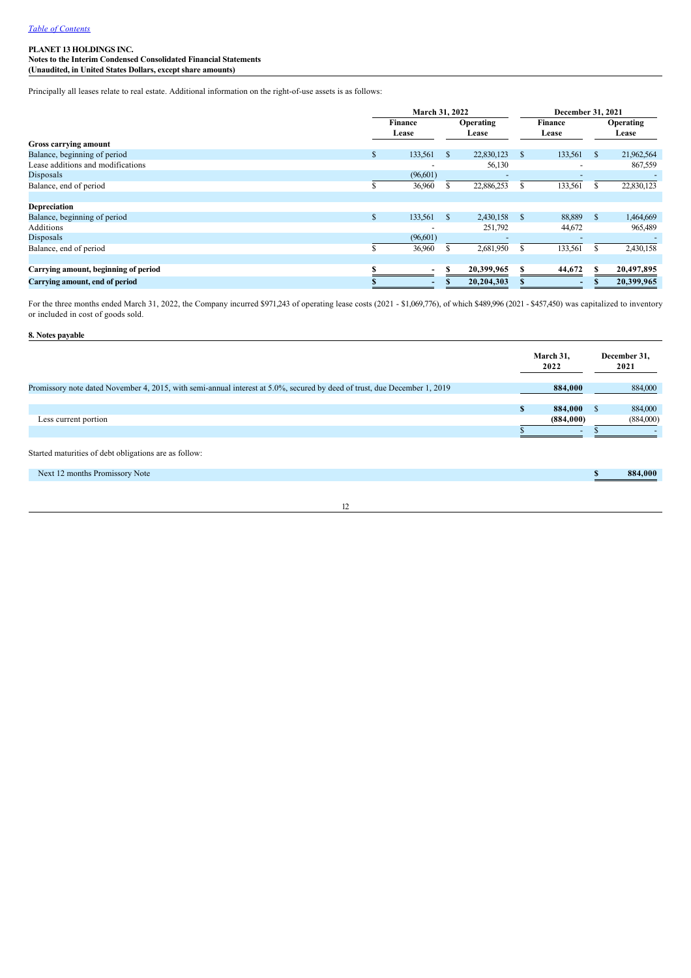**Notes to the Interim Condensed Consolidated Financial Statements (Unaudited, in United States Dollars, except share amounts)**

Principally all leases relate to real estate. Additional information on the right-of-use assets is as follows:

|                                      | March 31, 2022 |                          |               |                           |   | December 31, 2021       |               |                    |
|--------------------------------------|----------------|--------------------------|---------------|---------------------------|---|-------------------------|---------------|--------------------|
|                                      |                | <b>Finance</b><br>Lease  |               | <b>Operating</b><br>Lease |   | <b>Finance</b><br>Lease |               | Operating<br>Lease |
| Gross carrying amount                |                |                          |               |                           |   |                         |               |                    |
| Balance, beginning of period         | \$             | 133,561                  | <sup>\$</sup> | 22,830,123                | S | 133,561                 | <sup>\$</sup> | 21,962,564         |
| Lease additions and modifications    |                |                          |               | 56,130                    |   | ۰                       |               | 867,559            |
| Disposals                            |                | (96,601)                 |               |                           |   |                         |               |                    |
| Balance, end of period               | \$             | 36,960                   |               | 22,886,253                | S | 133,561                 |               | 22,830,123         |
|                                      |                |                          |               |                           |   |                         |               |                    |
| Depreciation                         |                |                          |               |                           |   |                         |               |                    |
| Balance, beginning of period         | \$             | 133,561                  | $\mathbf{s}$  | 2,430,158                 | S | 88,889                  | <sup>\$</sup> | 1,464,669          |
| Additions                            |                |                          |               | 251,792                   |   | 44,672                  |               | 965,489            |
| Disposals                            |                | (96,601)                 |               |                           |   |                         |               |                    |
| Balance, end of period               |                | 36,960                   |               | 2,681,950                 |   | 133,561                 |               | 2,430,158          |
|                                      |                |                          |               |                           |   |                         |               |                    |
| Carrying amount, beginning of period |                |                          |               | 20,399,965                | S | 44,672                  | S             | 20,497,895         |
| Carrying amount, end of period       |                | $\overline{\phantom{0}}$ |               | 20,204,303                |   | -                       |               | 20,399,965         |

For the three months ended March 31, 2022, the Company incurred \$971,243 of operating lease costs (2021 - \$1,069,776), of which \$489,996 (2021 - \$457,450) was capitalized to inventory or included in cost of goods sold.

**8. Notes payable**

|                                                                                                                           |   | March 31,<br>2022        |              | December 31,<br>2021 |
|---------------------------------------------------------------------------------------------------------------------------|---|--------------------------|--------------|----------------------|
| Promissory note dated November 4, 2015, with semi-annual interest at 5.0%, secured by deed of trust, due December 1, 2019 |   | 884,000                  |              | 884,000              |
|                                                                                                                           |   |                          |              |                      |
|                                                                                                                           | S | 884,000                  | $\mathbf{S}$ | 884,000              |
| Less current portion                                                                                                      |   | (884,000)                |              | (884,000)            |
|                                                                                                                           |   | $\overline{\phantom{a}}$ |              |                      |
| Started maturities of debt obligations are as follow:                                                                     |   |                          |              |                      |
| Next 12 months Promissory Note                                                                                            |   |                          |              | 884.000              |
|                                                                                                                           |   |                          |              |                      |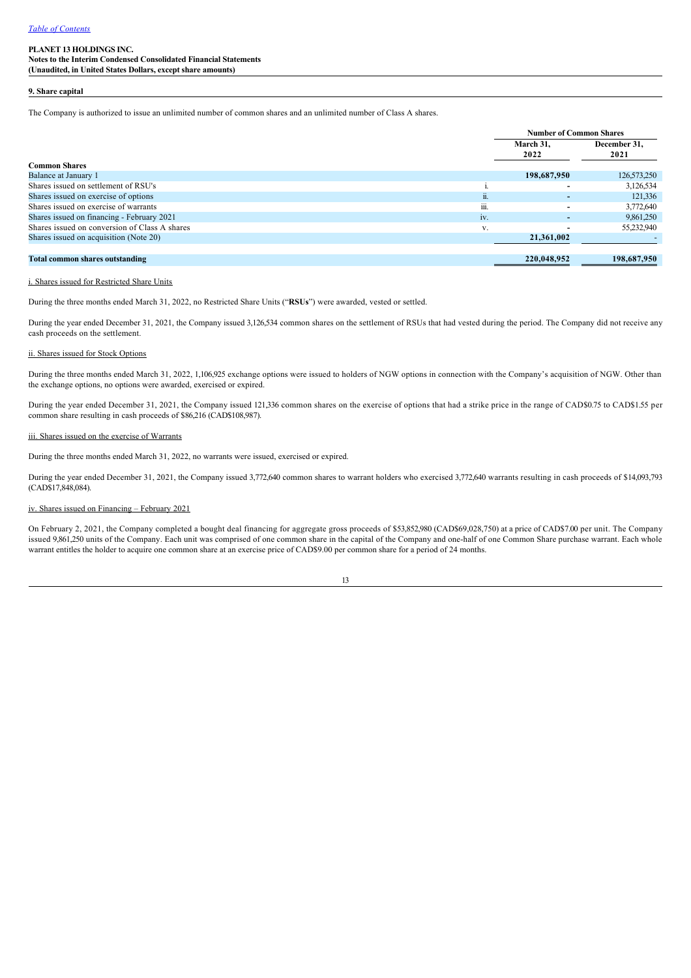**Notes to the Interim Condensed Consolidated Financial Statements (Unaudited, in United States Dollars, except share amounts)**

### **9. Share capital**

The Company is authorized to issue an unlimited number of common shares and an unlimited number of Class A shares.

|                                               |        | <b>Number of Common Shares</b> |              |
|-----------------------------------------------|--------|--------------------------------|--------------|
|                                               |        | March 31.                      | December 31, |
|                                               |        | 2022                           | 2021         |
| <b>Common Shares</b>                          |        |                                |              |
| Balance at January 1                          |        | 198,687,950                    | 126,573,250  |
| Shares issued on settlement of RSU's          |        |                                | 3,126,534    |
| Shares issued on exercise of options          | <br>п. |                                | 121,336      |
| Shares issued on exercise of warrants         | 111.   |                                | 3,772,640    |
| Shares issued on financing - February 2021    | iv.    |                                | 9,861,250    |
| Shares issued on conversion of Class A shares | V.     |                                | 55,232,940   |
| Shares issued on acquisition (Note 20)        |        | 21,361,002                     |              |
|                                               |        |                                |              |
| <b>Total common shares outstanding</b>        |        | 220,048,952                    | 198,687,950  |

## i. Shares issued for Restricted Share Units

During the three months ended March 31, 2022, no Restricted Share Units ("**RSUs**") were awarded, vested or settled.

During the year ended December 31, 2021, the Company issued 3,126,534 common shares on the settlement of RSUs that had vested during the period. The Company did not receive any cash proceeds on the settlement.

#### ii. Shares issued for Stock Options

During the three months ended March 31, 2022, 1,106,925 exchange options were issued to holders of NGW options in connection with the Company's acquisition of NGW. Other than the exchange options, no options were awarded, exercised or expired.

During the year ended December 31, 2021, the Company issued 121,336 common shares on the exercise of options that had a strike price in the range of CAD\$0.75 to CAD\$1.55 per common share resulting in cash proceeds of \$86,216 (CAD\$108,987).

### iii. Shares issued on the exercise of Warrants

During the three months ended March 31, 2022, no warrants were issued, exercised or expired.

During the year ended December 31, 2021, the Company issued 3,772,640 common shares to warrant holders who exercised 3,772,640 warrants resulting in cash proceeds of \$14,093,793 (CAD\$17,848,084).

#### iv. Shares issued on Financing – February 2021

On February 2, 2021, the Company completed a bought deal financing for aggregate gross proceeds of \$53,852,980 (CAD\$69,028,750) at a price of CAD\$7.00 per unit. The Company issued 9,861,250 units of the Company. Each unit was comprised of one common share in the capital of the Company and one-half of one Common Share purchase warrant. Each whole warrant entitles the holder to acquire one common share at an exercise price of CAD\$9.00 per common share for a period of 24 months.

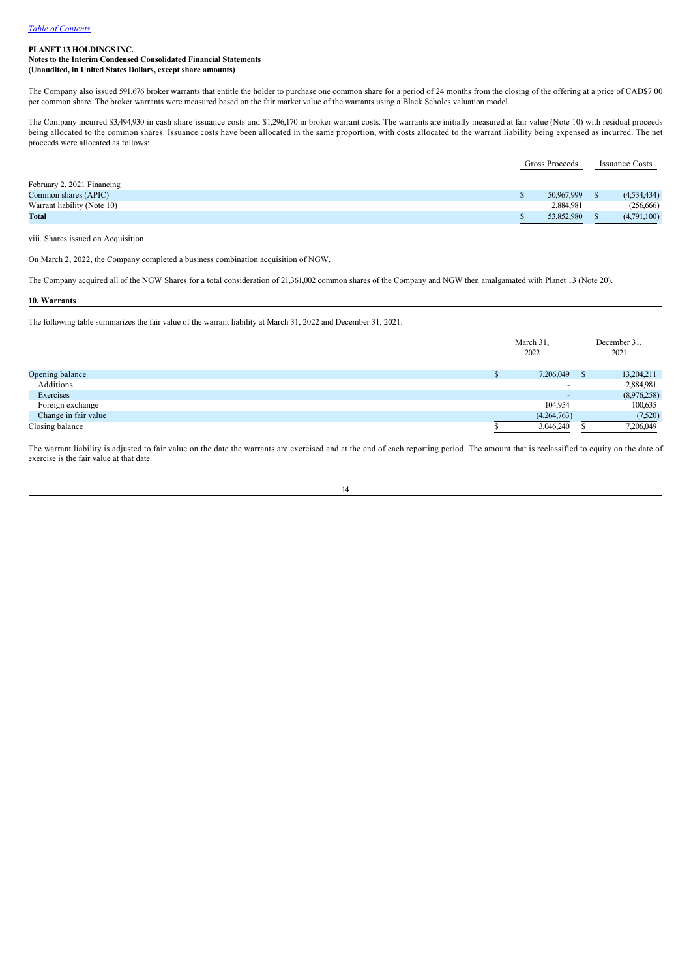The Company also issued 591,676 broker warrants that entitle the holder to purchase one common share for a period of 24 months from the closing of the offering at a price of CAD\$7.00 per common share. The broker warrants were measured based on the fair market value of the warrants using a Black Scholes valuation model.

The Company incurred \$3,494,930 in cash share issuance costs and \$1,296,170 in broker warrant costs. The warrants are initially measured at fair value (Note 10) with residual proceeds being allocated to the common shares. Issuance costs have been allocated in the same proportion, with costs allocated to the warrant liability being expensed as incurred. The net proceeds were allocated as follows:

|                             | Gross Proceeds |  | <b>Issuance Costs</b> |
|-----------------------------|----------------|--|-----------------------|
| February 2, 2021 Financing  |                |  |                       |
| Common shares (APIC)        | 50,967,999     |  | (4,534,434)           |
| Warrant liability (Note 10) | 2.884.981      |  | (256,666)             |
| Total                       | 53,852,980     |  | (4,791,100)           |

#### viii. Shares issued on Acquisition

On March 2, 2022, the Company completed a business combination acquisition of NGW.

The Company acquired all of the NGW Shares for a total consideration of 21,361,002 common shares of the Company and NGW then amalgamated with Planet 13 (Note 20).

### **10. Warrants**

The following table summarizes the fair value of the warrant liability at March 31, 2022 and December 31, 2021:

|                      |  | March 31,<br>2022        |    | December 31,<br>2021 |  |
|----------------------|--|--------------------------|----|----------------------|--|
| Opening balance      |  | 7,206,049                | -8 | 13,204,211           |  |
| Additions            |  | $\overline{\phantom{a}}$ |    | 2,884,981            |  |
| Exercises            |  | $\overline{\phantom{a}}$ |    | (8,976,258)          |  |
| Foreign exchange     |  | 104.954                  |    | 100,635              |  |
| Change in fair value |  | (4,264,763)              |    | (7,520)              |  |
| Closing balance      |  | 3,046,240                |    | 7,206,049            |  |

The warrant liability is adjusted to fair value on the date the warrants are exercised and at the end of each reporting period. The amount that is reclassified to equity on the date of exercise is the fair value at that date.

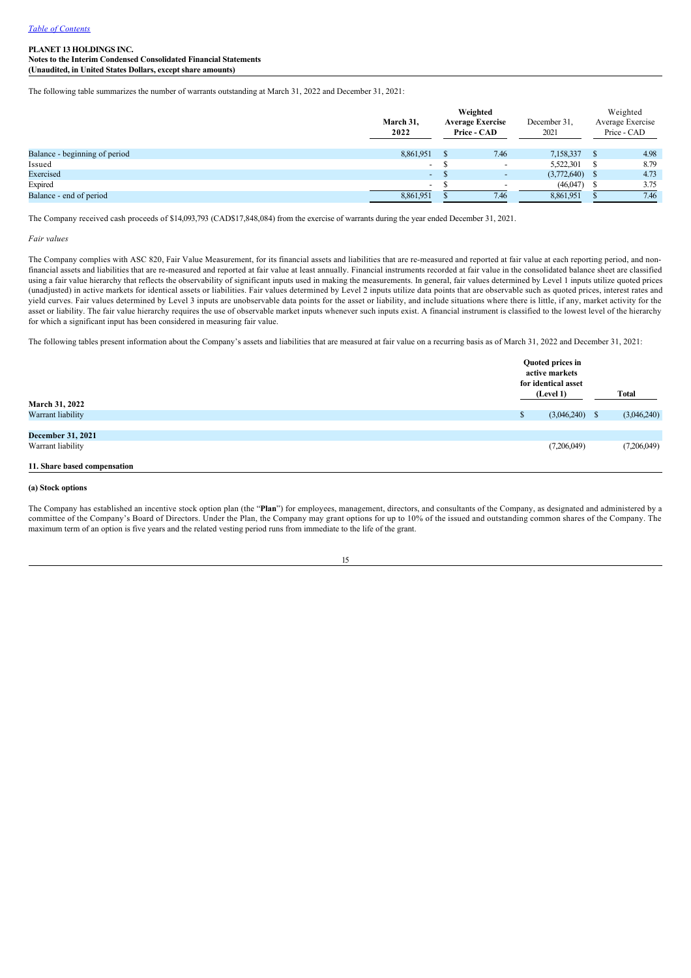The following table summarizes the number of warrants outstanding at March 31, 2022 and December 31, 2021:

|                               | Weighted<br>March 31,<br><b>Average Exercise</b><br>2022<br>Price - CAD |  |                          | December 31,<br>2021 | Weighted<br>Average Exercise<br>Price - CAD |
|-------------------------------|-------------------------------------------------------------------------|--|--------------------------|----------------------|---------------------------------------------|
| Balance - beginning of period | 8,861,951                                                               |  | 7.46                     | 7,158,337            | 4.98                                        |
| Issued                        | $\overline{\phantom{0}}$                                                |  | $\overline{\phantom{a}}$ | 5,522,301            | 8.79                                        |
| Exercised                     | $\overline{\phantom{a}}$                                                |  | $\overline{\phantom{0}}$ | (3,772,640)          | 4.73                                        |
| Expired                       | $\overline{\phantom{0}}$                                                |  | $\overline{\phantom{a}}$ | (46,047)             | 3.75                                        |
| Balance - end of period       | 8,861,951                                                               |  | 7.46                     | 8,861,951            | 7.46                                        |

The Company received cash proceeds of \$14,093,793 (CAD\$17,848,084) from the exercise of warrants during the year ended December 31, 2021.

*Fair values*

The Company complies with ASC 820, Fair Value Measurement, for its financial assets and liabilities that are re-measured and reported at fair value at each reporting period, and nonfinancial assets and liabilities that are remeasured and reported at fair value at least annually. Financial instruments recorded at fair value in the consolidated balance sheet are classified using a fair value hierarchy that reflects the observability of significant inputs used in making the measurements. In general, fair values determined by Level 1 inputs utilize quoted prices (unadjusted) in active markets for identical assets or liabilities. Fair values determined by Level 2 inputs utilize data points that are observable such as quoted prices, interest rates and yield curves. Fair values determined by Level 3 inputs are unobservable data points for the asset or liability, and include situations where there is little, if any, market activity for the asset or liability. The fair value hierarchy requires the use of observable market inputs whenever such inputs exist. A financial instrument is classified to the lowest level of the hierarchy for which a significant input has been considered in measuring fair value.

The following tables present information about the Company's assets and liabilities that are measured at fair value on a recurring basis as of March 31, 2022 and December 31, 2021:

| March 31, 2022               |          | Quoted prices in<br>active markets<br>for identical asset<br>(Level 1) |  | Total       |
|------------------------------|----------|------------------------------------------------------------------------|--|-------------|
| Warrant liability            | <b>A</b> | $(3,046,240)$ \$                                                       |  | (3,046,240) |
|                              |          |                                                                        |  |             |
| <b>December 31, 2021</b>     |          |                                                                        |  |             |
| Warrant liability            |          | (7,206,049)                                                            |  | (7,206,049) |
| 11. Share based compensation |          |                                                                        |  |             |

**(a) Stock options**

The Company has established an incentive stock option plan (the "**Plan**") for employees, management, directors, and consultants of the Company, as designated and administered by a committee of the Company's Board of Directors. Under the Plan, the Company may grant options for up to 10% of the issued and outstanding common shares of the Company. The maximum term of an option is five years and the related vesting period runs from immediate to the life of the grant.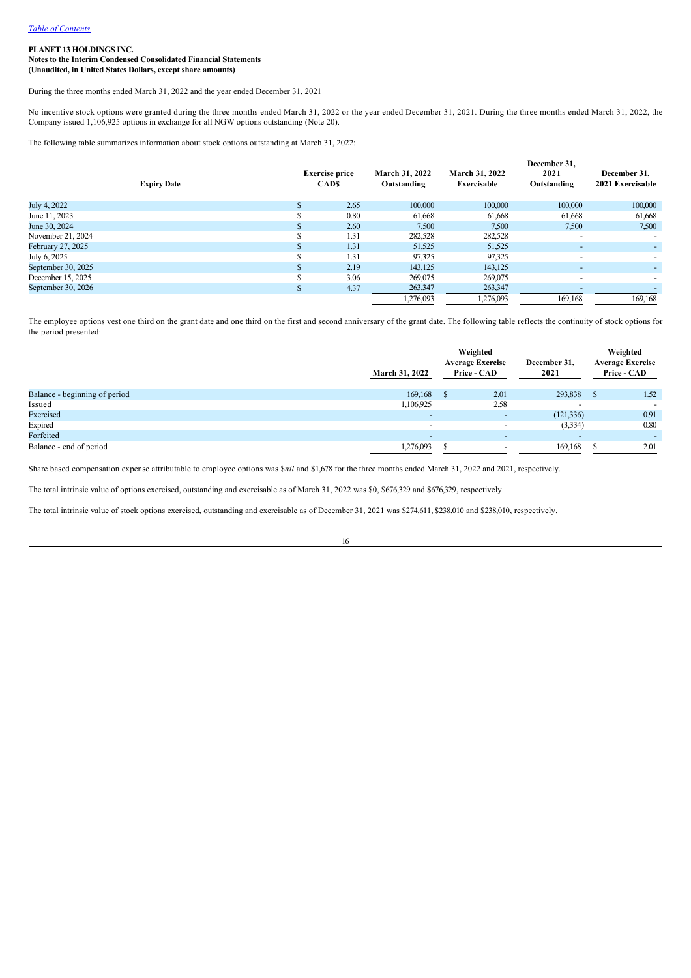### During the three months ended March 31, 2022 and the year ended December 31, 2021

No incentive stock options were granted during the three months ended March 31, 2022 or the year ended December 31, 2021. During the three months ended March 31, 2022, the Company issued 1,106,925 options in exchange for all NGW options outstanding (Note 20).

The following table summarizes information about stock options outstanding at March 31, 2022:

| <b>Expiry Date</b> | <b>Exercise price</b><br><b>CADS</b> | March 31, 2022<br>Outstanding | March 31, 2022<br><b>Exercisable</b> | December 31.<br>2021<br>Outstanding | December 31.<br>2021 Exercisable |
|--------------------|--------------------------------------|-------------------------------|--------------------------------------|-------------------------------------|----------------------------------|
| July 4, 2022       | 2.65                                 | 100,000                       | 100,000                              | 100,000                             | 100,000                          |
| June 11, 2023      | 0.80                                 | 61,668                        | 61,668                               | 61,668                              | 61,668                           |
| June 30, 2024      | 2.60                                 | 7,500                         | 7,500                                | 7,500                               | 7,500                            |
| November 21, 2024  | 1.31                                 | 282,528                       | 282,528                              | $\overline{\phantom{a}}$            |                                  |
| February 27, 2025  | 1.31                                 | 51,525                        | 51,525                               | $\sim$                              |                                  |
| July 6, 2025       | 1.31                                 | 97,325                        | 97,325                               | $\overline{\phantom{a}}$            |                                  |
| September 30, 2025 | 2.19                                 | 143,125                       | 143,125                              | $\overline{\phantom{0}}$            |                                  |
| December 15, 2025  | 3.06                                 | 269,075                       | 269,075                              | $\overline{\phantom{a}}$            |                                  |
| September 30, 2026 | 4.37                                 | 263,347                       | 263,347                              |                                     |                                  |
|                    |                                      | 1,276,093                     | 1,276,093                            | 169.168                             | 169,168                          |

The employee options vest one third on the grant date and one third on the first and second anniversary of the grant date. The following table reflects the continuity of stock options for the period presented:

|                               | <b>March 31, 2022</b>    | Weighted<br><b>Average Exercise</b><br><b>Price - CAD</b> | December 31,<br>2021 | Weighted<br><b>Average Exercise</b><br>Price - CAD |
|-------------------------------|--------------------------|-----------------------------------------------------------|----------------------|----------------------------------------------------|
| Balance - beginning of period | 169,168                  | 2.01                                                      | 293,838              | 1.52                                               |
| Issued                        | 1,106,925                | 2.58                                                      |                      | $\overline{\phantom{0}}$                           |
| Exercised                     | $\overline{\phantom{a}}$ | $\overline{\phantom{a}}$                                  | (121, 336)           | 0.91                                               |
| Expired                       | $\overline{\phantom{0}}$ | $\overline{\phantom{a}}$                                  | (3, 334)             | 0.80                                               |
| Forfeited                     | $\overline{\phantom{0}}$ | -                                                         |                      |                                                    |
| Balance - end of period       | 1,276,093                |                                                           | 169,168              | 2.01                                               |

Share based compensation expense attributable to employee options was \$*nil* and \$1,678 for the three months ended March 31, 2022 and 2021, respectively.

The total intrinsic value of options exercised, outstanding and exercisable as of March 31, 2022 was \$0, \$676,329 and \$676,329, respectively.

The total intrinsic value of stock options exercised, outstanding and exercisable as of December 31, 2021 was \$274,611, \$238,010 and \$238,010, respectively.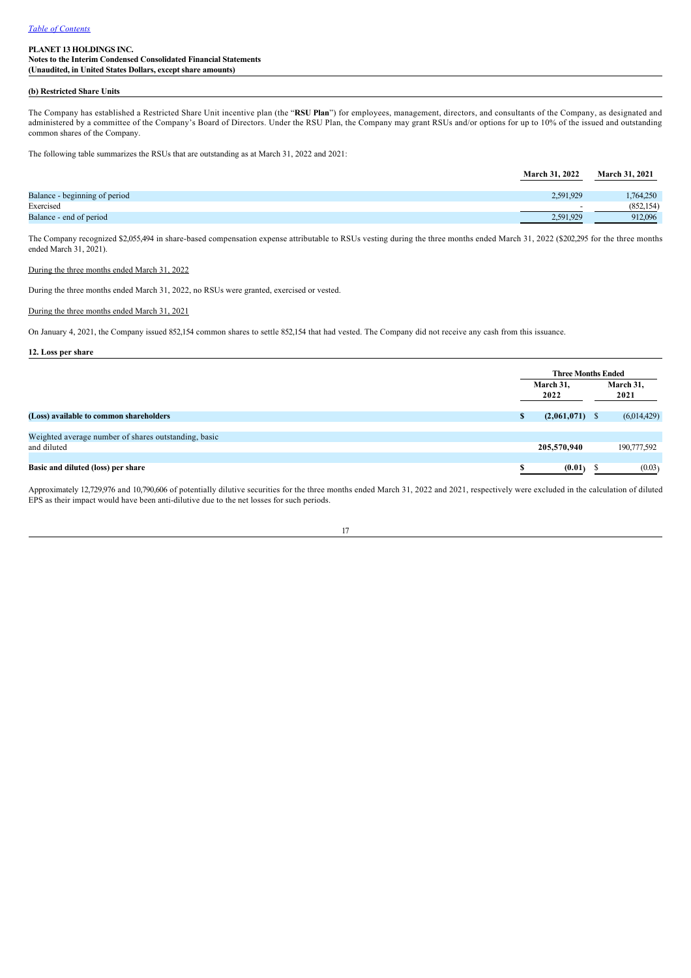## **(b) Restricted Share Units**

The Company has established a Restricted Share Unit incentive plan (the "**RSU Plan**") for employees, management, directors, and consultants of the Company, as designated and administered by a committee of the Company's Board of Directors. Under the RSU Plan, the Company may grant RSUs and/or options for up to 10% of the issued and outstanding common shares of the Company.

The following table summarizes the RSUs that are outstanding as at March 31, 2022 and 2021:

|                               | <b>March 31, 2022</b> | <b>March 31, 2021</b> |
|-------------------------------|-----------------------|-----------------------|
| Balance - beginning of period | 2.591.929             | 1.764.250             |
| Exercised                     | $\sim$                | (852, 154)            |
| Balance - end of period       | 2,591,929             | 912,096               |

The Company recognized \$2,055,494 in share-based compensation expense attributable to RSUs vesting during the three months ended March 31, 2022 (\$202,295 for the three months ended March 31, 2021).

#### During the three months ended March 31, 2022

During the three months ended March 31, 2022, no RSUs were granted, exercised or vested.

### During the three months ended March 31, 2021

On January 4, 2021, the Company issued 852,154 common shares to settle 852,154 that had vested. The Company did not receive any cash from this issuance.

### **12. Loss per share**

|                                                      |                   | <b>Three Months Ended</b> |                   |  |  |
|------------------------------------------------------|-------------------|---------------------------|-------------------|--|--|
|                                                      | March 31,<br>2022 |                           | March 31,<br>2021 |  |  |
| (Loss) available to common shareholders              | m<br><b>D</b>     | $(2,061,071)$ \$          | (6,014,429)       |  |  |
| Weighted average number of shares outstanding, basic |                   |                           |                   |  |  |
| and diluted                                          |                   | 205,570,940               | 190,777,592       |  |  |
|                                                      |                   |                           |                   |  |  |
| Basic and diluted (loss) per share                   | e                 | (0.01)                    | (0.03)            |  |  |

Approximately 12,729,976 and 10,790,606 of potentially dilutive securities for the three months ended March 31, 2022 and 2021, respectively were excluded in the calculation of diluted EPS as their impact would have been anti-dilutive due to the net losses for such periods.

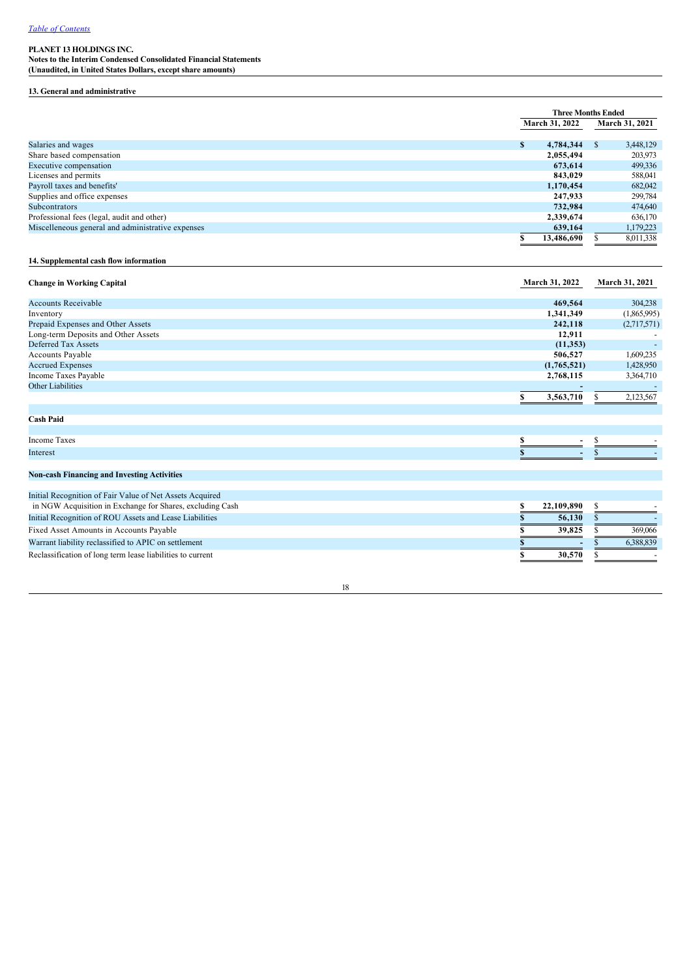**Notes to the Interim Condensed Consolidated Financial Statements (Unaudited, in United States Dollars, except share amounts)**

#### **13. General and administrative**

|                                                   |                       | <b>Three Months Ended</b> |
|---------------------------------------------------|-----------------------|---------------------------|
|                                                   | <b>March 31, 2022</b> | March 31, 2021            |
| Salaries and wages                                | S<br>4,784,344        | 3,448,129<br>S.           |
| Share based compensation                          | 2,055,494             | 203,973                   |
| Executive compensation                            | 673.614               | 499,336                   |
| Licenses and permits                              | 843.029               | 588,041                   |
| Payroll taxes and benefits'                       | 1,170,454             | 682,042                   |
| Supplies and office expenses                      | 247,933               | 299,784                   |
| <b>Subcontrators</b>                              | 732.984               | 474,640                   |
| Professional fees (legal, audit and other)        | 2,339,674             | 636,170                   |
| Miscelleneous general and administrative expenses | 639,164               | 1,179,223                 |
|                                                   | 13,486,690            | 8,011,338                 |

## **14. Supplemental cash flow information**

| <b>Change in Working Capital</b>                         | March 31, 2022 | March 31, 2021 |
|----------------------------------------------------------|----------------|----------------|
| <b>Accounts Receivable</b>                               | 469,564        | 304,238        |
| Inventory                                                | 1,341,349      | (1,865,995)    |
| Prepaid Expenses and Other Assets                        | 242,118        | (2,717,571)    |
| Long-term Deposits and Other Assets                      | 12,911         |                |
| Deferred Tax Assets                                      | (11, 353)      |                |
| Accounts Payable                                         | 506,527        | 1,609,235      |
| <b>Accrued Expenses</b>                                  | (1,765,521)    | 1,428,950      |
| Income Taxes Payable                                     | 2,768,115      | 3,364,710      |
| <b>Other Liabilities</b>                                 |                |                |
|                                                          | 3,563,710      | 2,123,567      |
| <b>Cash Paid</b>                                         |                |                |
| <b>Income Taxes</b>                                      | e              |                |
| Interest                                                 |                |                |
| <b>Non-cash Financing and Investing Activities</b>       |                |                |
|                                                          |                |                |
| Initial Recognition of Fair Value of Net Assets Acquired |                |                |

| 22.109.890               |           |
|--------------------------|-----------|
| 56,130                   |           |
| 39.825                   | 369,066   |
| $\overline{\phantom{a}}$ | 6.388.839 |
| 30,570                   |           |
|                          |           |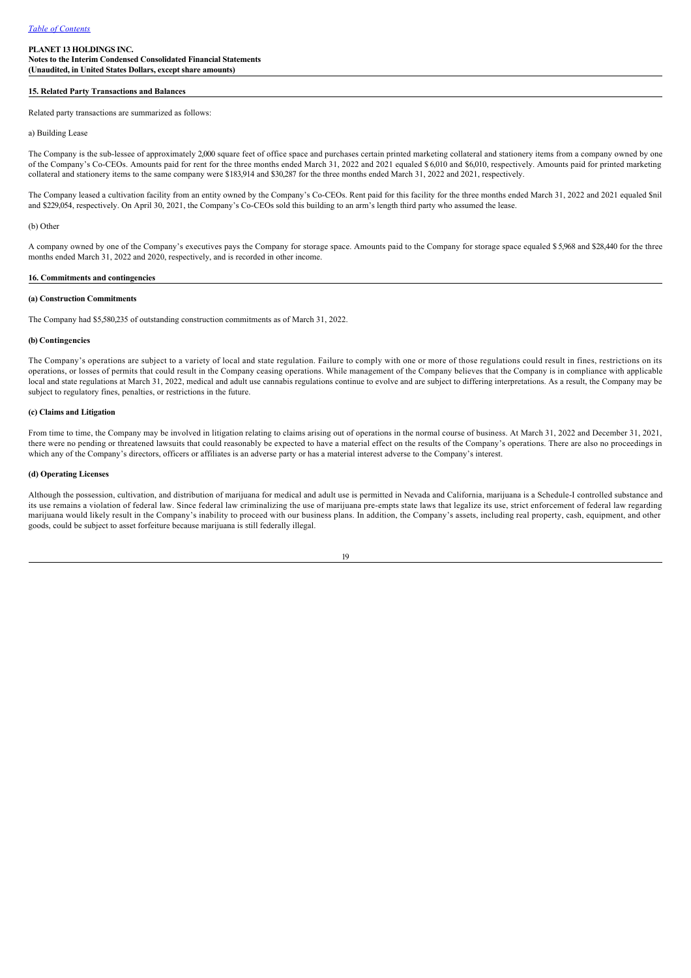#### **15. Related Party Transactions and Balances**

Related party transactions are summarized as follows:

### a) Building Lease

The Company is the sub-lessee of approximately 2,000 square feet of office space and purchases certain printed marketing collateral and stationery items from a company owned by one of the Company's Co-CEOs. Amounts paid for rent for the three months ended March 31, 2022 and 2021 equaled \$ 6,010 and \$6,010, respectively. Amounts paid for printed marketing collateral and stationery items to the same company were \$183,914 and \$30,287 for the three months ended March 31, 2022 and 2021, respectively.

The Company leased a cultivation facility from an entity owned by the Company's CoCEOs. Rent paid for this facility for the three months ended March 31, 2022 and 2021 equaled \$nil and \$229,054, respectively. On April 30, 2021, the Company's Co-CEOs sold this building to an arm's length third party who assumed the lease.

### (b) Other

A company owned by one of the Company's executives pays the Company for storage space. Amounts paid to the Company for storage space equaled \$ 5,968 and \$28,440 for the three months ended March 31, 2022 and 2020, respectively, and is recorded in other income.

#### **16. Commitments and contingencies**

#### **(a) Construction Commitments**

The Company had \$5,580,235 of outstanding construction commitments as of March 31, 2022.

#### **(b) Contingencies**

The Company's operations are subject to a variety of local and state regulation. Failure to comply with one or more of those regulations could result in fines, restrictions on its operations, or losses of permits that could result in the Company ceasing operations. While management of the Company believes that the Company is in compliance with applicable local and state regulations at March 31, 2022, medical and adult use cannabis regulations continue to evolve and are subject to differing interpretations. As a result, the Company may be subject to regulatory fines, penalties, or restrictions in the future.

#### **(c) Claims and Litigation**

From time to time, the Company may be involved in litigation relating to claims arising out of operations in the normal course of business. At March 31, 2022 and December 31, 2021, there were no pending or threatened lawsuits that could reasonably be expected to have a material effect on the results of the Company's operations. There are also no proceedings in which any of the Company's directors, officers or affiliates is an adverse party or has a material interest adverse to the Company's interest.

#### **(d) Operating Licenses**

Although the possession, cultivation, and distribution of marijuana for medical and adult use is permitted in Nevada and California, marijuana is a ScheduleI controlled substance and its use remains a violation of federal law. Since federal law criminalizing the use of marijuana pre-empts state laws that legalize its use, strict enforcement of federal law regarding marijuana would likely result in the Company's inability to proceed with our business plans. In addition, the Company's assets, including real property, cash, equipment, and other goods, could be subject to asset forfeiture because marijuana is still federally illegal.

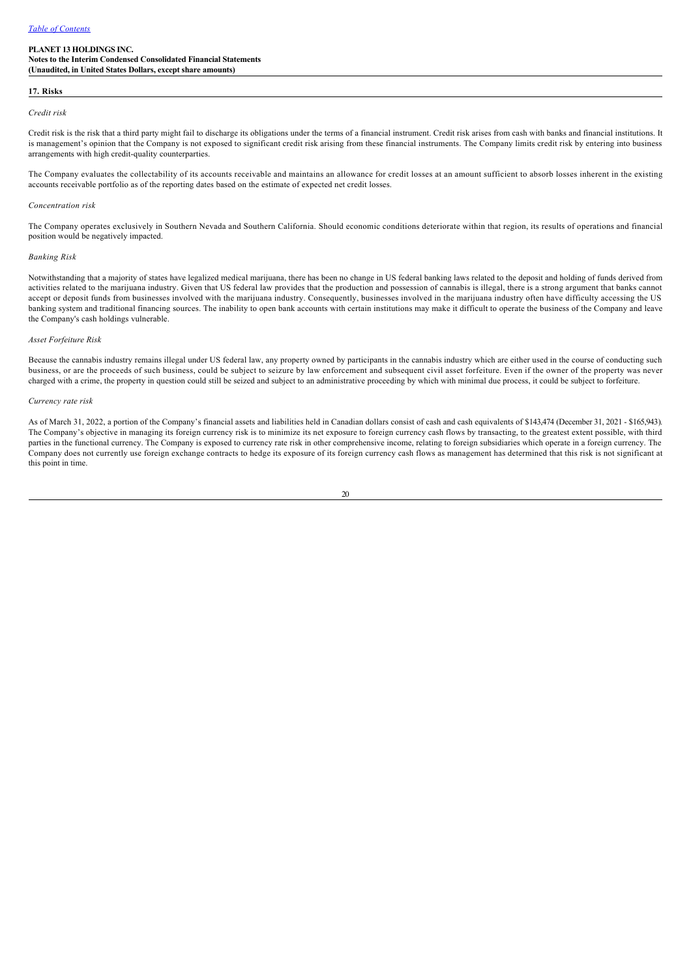#### **17. Risks**

#### *Credit risk*

Credit risk is the risk that a third party might fail to discharge its obligations under the terms of a financial instrument. Credit risk arises from cash with banks and financial institutions. It is management's opinion that the Company is not exposed to significant credit risk arising from these financial instruments. The Company limits credit risk by entering into business arrangements with high credit-quality counterparties.

The Company evaluates the collectability of its accounts receivable and maintains an allowance for credit losses at an amount sufficient to absorb losses inherent in the existing accounts receivable portfolio as of the reporting dates based on the estimate of expected net credit losses.

#### *Concentration risk*

The Company operates exclusively in Southern Nevada and Southern California. Should economic conditions deteriorate within that region, its results of operations and financial position would be negatively impacted.

#### *Banking Risk*

Notwithstanding that a majority of states have legalized medical marijuana, there has been no change in US federal banking laws related to the deposit and holding of funds derived from activities related to the marijuana industry. Given that US federal law provides that the production and possession of cannabis is illegal, there is a strong argument that banks cannot accept or deposit funds from businesses involved with the marijuana industry. Consequently, businesses involved in the marijuana industry often have difficulty accessing the US banking system and traditional financing sources. The inability to open bank accounts with certain institutions may make it difficult to operate the business of the Company and leave the Company's cash holdings vulnerable.

#### *Asset Forfeiture Risk*

Because the cannabis industry remains illegal under US federal law, any property owned by participants in the cannabis industry which are either used in the course of conducting such business, or are the proceeds of such business, could be subject to seizure by law enforcement and subsequent civil asset forfeiture. Even if the owner of the property was never charged with a crime, the property in question could still be seized and subject to an administrative proceeding by which with minimal due process, it could be subject to forfeiture.

#### *Currency rate risk*

As of March 31, 2022, a portion of the Company's financial assets and liabilities held in Canadian dollars consist of cash and cash equivalents of \$143,474 (December 31, 2021 - \$165,943). The Company's objective in managing its foreign currency risk is to minimize its net exposure to foreign currency cash flows by transacting, to the greatest extent possible, with third parties in the functional currency. The Company is exposed to currency rate risk in other comprehensive income, relating to foreign subsidiaries which operate in a foreign currency. The Company does not currently use foreign exchange contracts to hedge its exposure of its foreign currency cash flows as management has determined that this risk is not significant at this point in time.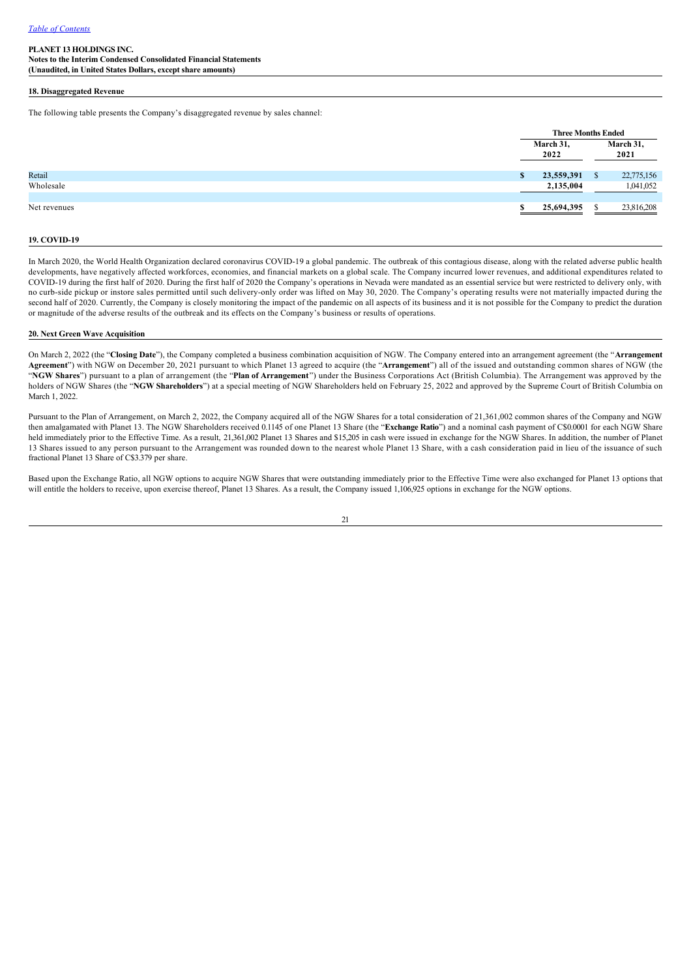**Notes to the Interim Condensed Consolidated Financial Statements (Unaudited, in United States Dollars, except share amounts)**

#### **18. Disaggregated Revenue**

The following table presents the Company's disaggregated revenue by sales channel:

|              |   | <b>Three Months Ended</b> |   |                   |  |
|--------------|---|---------------------------|---|-------------------|--|
|              |   | March 31,<br>2022         |   | March 31,<br>2021 |  |
| Retail       | S | 23,559,391                | D | 22,775,156        |  |
| Wholesale    |   | 2,135,004                 |   | 1,041,052         |  |
| Net revenues |   | 25,694,395                |   | 23,816,208        |  |

### **19. COVID19**

In March 2020, the World Health Organization declared coronavirus COVID-19 a global pandemic. The outbreak of this contagious disease, along with the related adverse public health developments, have negatively affected workforces, economies, and financial markets on a global scale. The Company incurred lower revenues, and additional expenditures related to COVID19 during the first half of 2020. During the first half of 2020 the Company's operations in Nevada were mandated as an essential service but were restricted to delivery only, with no curb-side pickup or instore sales permitted until such delivery-only order was lifted on May 30, 2020. The Company's operating results were not materially impacted during the second half of 2020. Currently, the Company is closely monitoring the impact of the pandemic on all aspects of its business and it is not possible for the Company to predict the duration or magnitude of the adverse results of the outbreak and its effects on the Company's business or results of operations.

#### **20. Next Green Wave Acquisition**

On March 2, 2022 (the "**Closing Date**"), the Company completed a business combination acquisition of NGW. The Company entered into an arrangement agreement (the "**Arrangement Agreement**") with NGW on December 20, 2021 pursuant to which Planet 13 agreed to acquire (the "**Arrangement**") all of the issued and outstanding common shares of NGW (the "**NGW Shares**") pursuant to a plan of arrangement (the "**Plan of Arrangement**") under the Business Corporations Act (British Columbia). The Arrangement was approved by the holders of NGW Shares (the "**NGW Shareholders**") at a special meeting of NGW Shareholders held on February 25, 2022 and approved by the Supreme Court of British Columbia on March 1, 2022.

Pursuant to the Plan of Arrangement, on March 2, 2022, the Company acquired all of the NGW Shares for a total consideration of 21,361,002 common shares of the Company and NGW then amalgamated with Planet 13. The NGW Shareholders received 0.1145 of one Planet 13 Share (the "**Exchange Ratio**") and a nominal cash payment of C\$0.0001 for each NGW Share held immediately prior to the Effective Time. As a result, 21,361,002 Planet 13 Shares and \$15,205 in cash were issued in exchange for the NGW Shares. In addition, the number of Planet 13 Shares issued to any person pursuant to the Arrangement was rounded down to the nearest whole Planet 13 Share, with a cash consideration paid in lieu of the issuance of such fractional Planet 13 Share of C\$3.379 per share.

Based upon the Exchange Ratio, all NGW options to acquire NGW Shares that were outstanding immediately prior to the Effective Time were also exchanged for Planet 13 options that will entitle the holders to receive, upon exercise thereof, Planet 13 Shares. As a result, the Company issued 1,106,925 options in exchange for the NGW options.